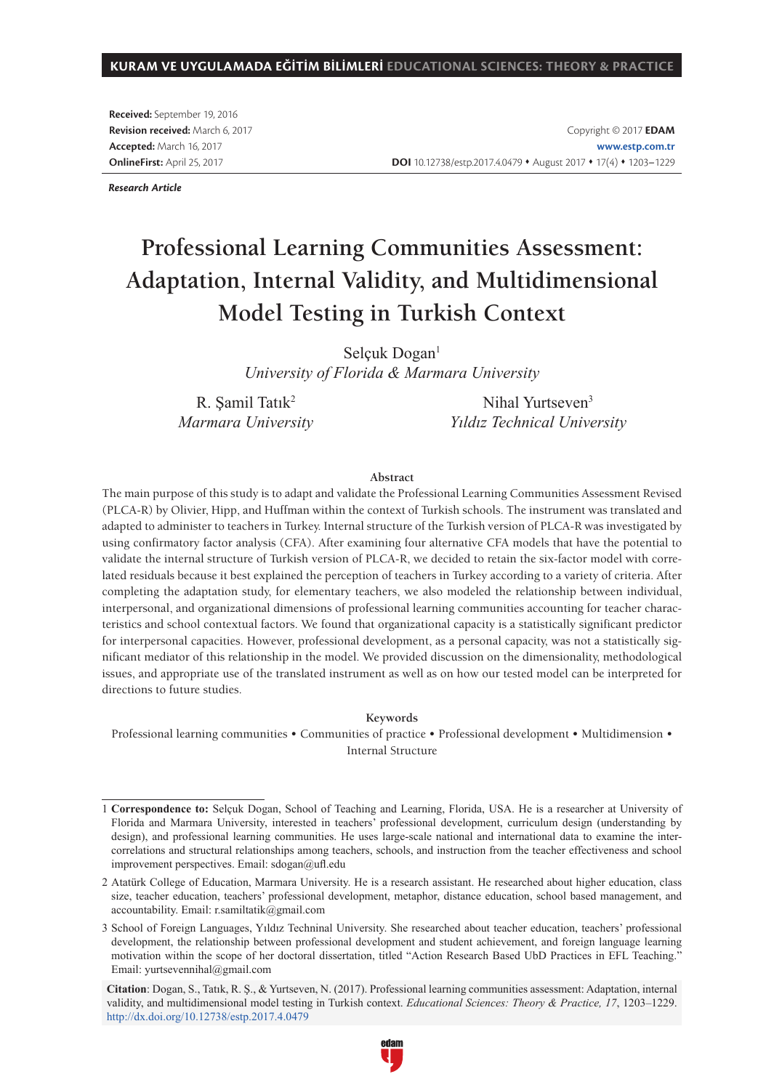#### **KURAM VE UYGULAMADA EĞİTİM BİLİMLERİ EDUCATIONAL SCIENCES: THEORY & PRACTICE**

**Received:** September 19, 2016 **Revision received:** March 6, 2017 **Accepted:** March 16, 2017 **OnlineFirst:** April 25, 2017

Copyright © 2017 **EDAM www.estp.com.tr** DOI 10.12738/estp.2017.4.0479 **\*** August 2017 **\*** 17(4) **\*** 1203-1229

*Research Article*

# **Professional Learning Communities Assessment: Adaptation, Internal Validity, and Multidimensional Model Testing in Turkish Context**

Selçuk Dogan<sup>1</sup> *University of Florida & Marmara University*

R. Şamil Tatık<sup>2</sup> *Marmara University*

Nihal Yurtseven<sup>3</sup> *Yıldız Technical University*

#### **Abstract**

The main purpose of this study is to adapt and validate the Professional Learning Communities Assessment Revised (PLCA-R) by Olivier, Hipp, and Huffman within the context of Turkish schools. The instrument was translated and adapted to administer to teachers in Turkey. Internal structure of the Turkish version of PLCA-R was investigated by using confirmatory factor analysis (CFA). After examining four alternative CFA models that have the potential to validate the internal structure of Turkish version of PLCA-R, we decided to retain the six-factor model with correlated residuals because it best explained the perception of teachers in Turkey according to a variety of criteria. After completing the adaptation study, for elementary teachers, we also modeled the relationship between individual, interpersonal, and organizational dimensions of professional learning communities accounting for teacher characteristics and school contextual factors. We found that organizational capacity is a statistically significant predictor for interpersonal capacities. However, professional development, as a personal capacity, was not a statistically significant mediator of this relationship in the model. We provided discussion on the dimensionality, methodological issues, and appropriate use of the translated instrument as well as on how our tested model can be interpreted for directions to future studies.

#### **Keywords**

Professional learning communities • Communities of practice • Professional development • Multidimension • Internal Structure

**Citation**: Dogan, S., Tatık, R. Ş., & Yurtseven, N. (2017). Professional learning communities assessment: Adaptation, internal validity, and multidimensional model testing in Turkish context. *Educational Sciences: Theory & Practice, 17*, 1203–1229. http://dx.doi.org/10.12738/estp.2017.4.0479



<sup>1</sup> **Correspondence to:** Selçuk Dogan, School of Teaching and Learning, Florida, USA. He is a researcher at University of Florida and Marmara University, interested in teachers' professional development, curriculum design (understanding by design), and professional learning communities. He uses large-scale national and international data to examine the intercorrelations and structural relationships among teachers, schools, and instruction from the teacher effectiveness and school improvement perspectives. Email: sdogan@ufl.edu

<sup>2</sup> Atatürk College of Education, Marmara University. He is a research assistant. He researched about higher education, class size, teacher education, teachers' professional development, metaphor, distance education, school based management, and accountability. Email: r.samiltatik@gmail.com

<sup>3</sup> School of Foreign Languages, Yıldız Techninal University. She researched about teacher education, teachers' professional development, the relationship between professional development and student achievement, and foreign language learning motivation within the scope of her doctoral dissertation, titled "Action Research Based UbD Practices in EFL Teaching." Email: yurtsevennihal@gmail.com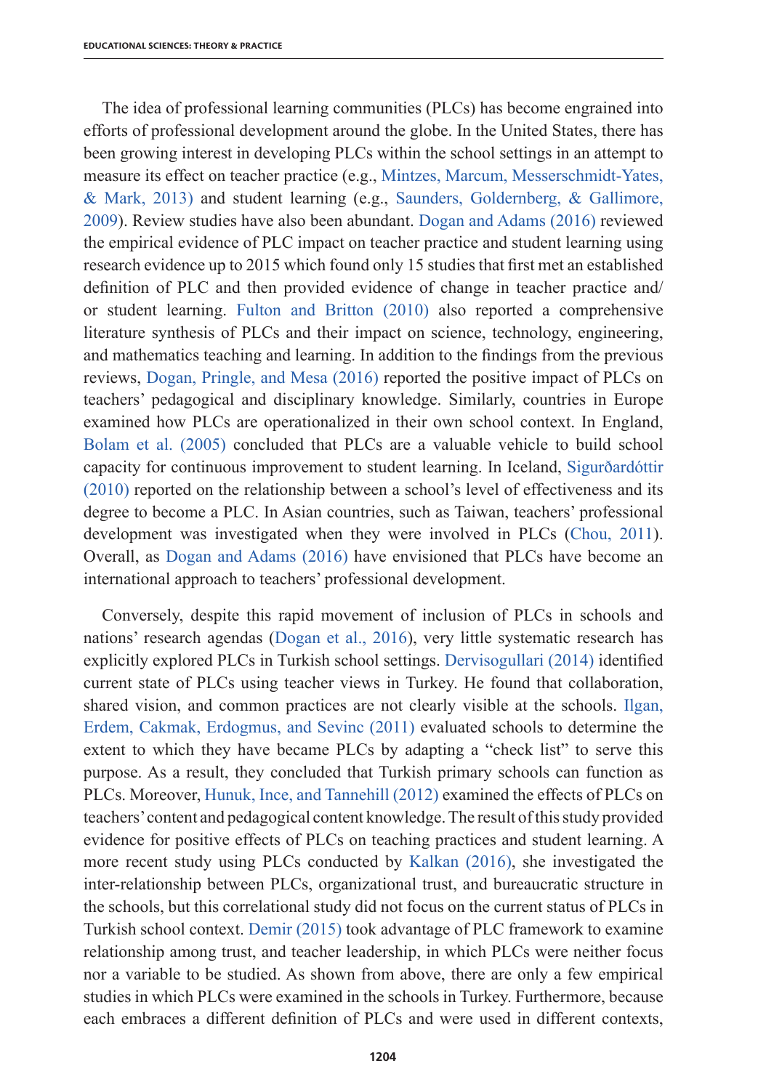The idea of professional learning communities (PLCs) has become engrained into efforts of professional development around the globe. In the United States, there has been growing interest in developing PLCs within the school settings in an attempt to measure its effect on teacher practice (e.g., Mintzes, Marcum, Messerschmidt-Yates, & Mark, 2013) and student learning (e.g., Saunders, Goldernberg, & Gallimore, 2009). Review studies have also been abundant. Dogan and Adams (2016) reviewed the empirical evidence of PLC impact on teacher practice and student learning using research evidence up to 2015 which found only 15 studies that first met an established definition of PLC and then provided evidence of change in teacher practice and/ or student learning. Fulton and Britton (2010) also reported a comprehensive literature synthesis of PLCs and their impact on science, technology, engineering, and mathematics teaching and learning. In addition to the findings from the previous reviews, Dogan, Pringle, and Mesa (2016) reported the positive impact of PLCs on teachers' pedagogical and disciplinary knowledge. Similarly, countries in Europe examined how PLCs are operationalized in their own school context. In England, Bolam et al. (2005) concluded that PLCs are a valuable vehicle to build school capacity for continuous improvement to student learning. In Iceland, Sigurðardóttir (2010) reported on the relationship between a school's level of effectiveness and its degree to become a PLC. In Asian countries, such as Taiwan, teachers' professional development was investigated when they were involved in PLCs (Chou, 2011). Overall, as Dogan and Adams (2016) have envisioned that PLCs have become an international approach to teachers' professional development.

Conversely, despite this rapid movement of inclusion of PLCs in schools and nations' research agendas (Dogan et al., 2016), very little systematic research has explicitly explored PLCs in Turkish school settings. Dervisogullari (2014) identified current state of PLCs using teacher views in Turkey. He found that collaboration, shared vision, and common practices are not clearly visible at the schools. Ilgan, Erdem, Cakmak, Erdogmus, and Sevinc (2011) evaluated schools to determine the extent to which they have became PLCs by adapting a "check list" to serve this purpose. As a result, they concluded that Turkish primary schools can function as PLCs. Moreover, Hunuk, Ince, and Tannehill (2012) examined the effects of PLCs on teachers' content and pedagogical content knowledge. The result of this study provided evidence for positive effects of PLCs on teaching practices and student learning. A more recent study using PLCs conducted by Kalkan (2016), she investigated the inter-relationship between PLCs, organizational trust, and bureaucratic structure in the schools, but this correlational study did not focus on the current status of PLCs in Turkish school context. Demir (2015) took advantage of PLC framework to examine relationship among trust, and teacher leadership, in which PLCs were neither focus nor a variable to be studied. As shown from above, there are only a few empirical studies in which PLCs were examined in the schools in Turkey. Furthermore, because each embraces a different definition of PLCs and were used in different contexts,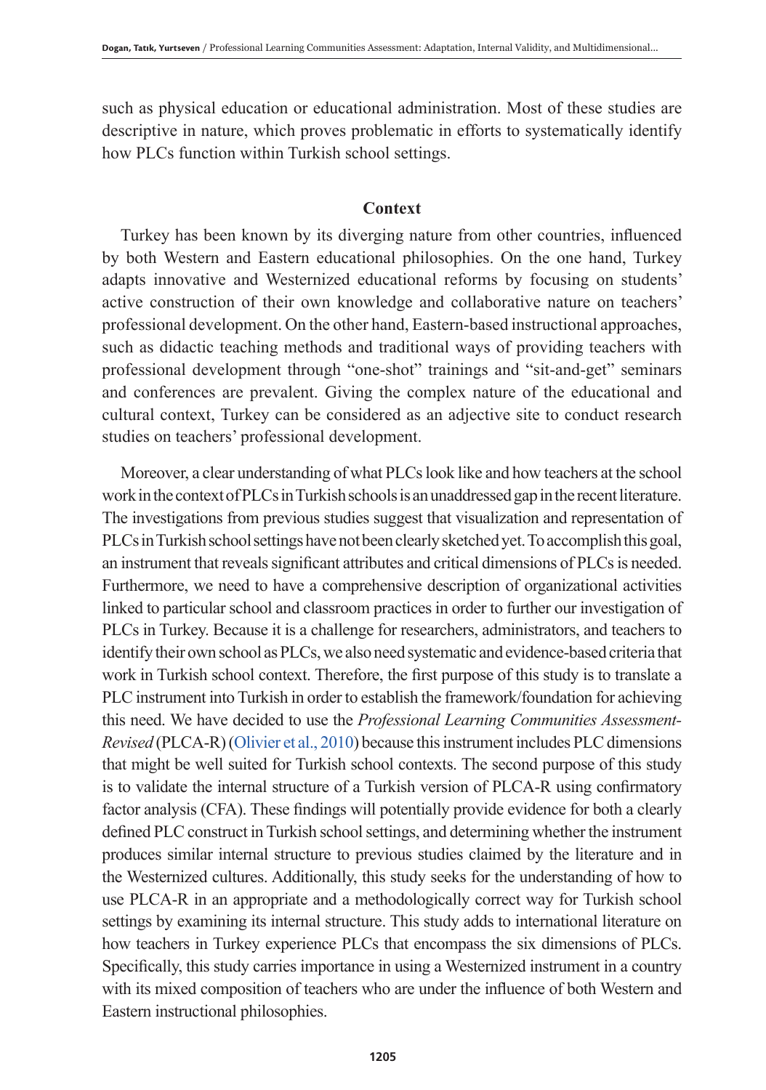such as physical education or educational administration. Most of these studies are descriptive in nature, which proves problematic in efforts to systematically identify how PLCs function within Turkish school settings.

## **Context**

Turkey has been known by its diverging nature from other countries, influenced by both Western and Eastern educational philosophies. On the one hand, Turkey adapts innovative and Westernized educational reforms by focusing on students' active construction of their own knowledge and collaborative nature on teachers' professional development. On the other hand, Eastern-based instructional approaches, such as didactic teaching methods and traditional ways of providing teachers with professional development through "one-shot" trainings and "sit-and-get" seminars and conferences are prevalent. Giving the complex nature of the educational and cultural context, Turkey can be considered as an adjective site to conduct research studies on teachers' professional development.

Moreover, a clear understanding of what PLCs look like and how teachers at the school work in the context of PLCs in Turkish schools is an unaddressed gap in the recent literature. The investigations from previous studies suggest that visualization and representation of PLCs in Turkish school settings have not been clearly sketched yet. To accomplish this goal, an instrument that reveals significant attributes and critical dimensions of PLCs is needed. Furthermore, we need to have a comprehensive description of organizational activities linked to particular school and classroom practices in order to further our investigation of PLCs in Turkey. Because it is a challenge for researchers, administrators, and teachers to identify their own school as PLCs, we also need systematic and evidence-based criteria that work in Turkish school context. Therefore, the first purpose of this study is to translate a PLC instrument into Turkish in order to establish the framework/foundation for achieving this need. We have decided to use the *Professional Learning Communities Assessment-Revised* (PLCA-R) (Olivier et al., 2010) because this instrument includes PLC dimensions that might be well suited for Turkish school contexts. The second purpose of this study is to validate the internal structure of a Turkish version of PLCA-R using confirmatory factor analysis (CFA). These findings will potentially provide evidence for both a clearly defined PLC construct in Turkish school settings, and determining whether the instrument produces similar internal structure to previous studies claimed by the literature and in the Westernized cultures. Additionally, this study seeks for the understanding of how to use PLCA-R in an appropriate and a methodologically correct way for Turkish school settings by examining its internal structure. This study adds to international literature on how teachers in Turkey experience PLCs that encompass the six dimensions of PLCs. Specifically, this study carries importance in using a Westernized instrument in a country with its mixed composition of teachers who are under the influence of both Western and Eastern instructional philosophies.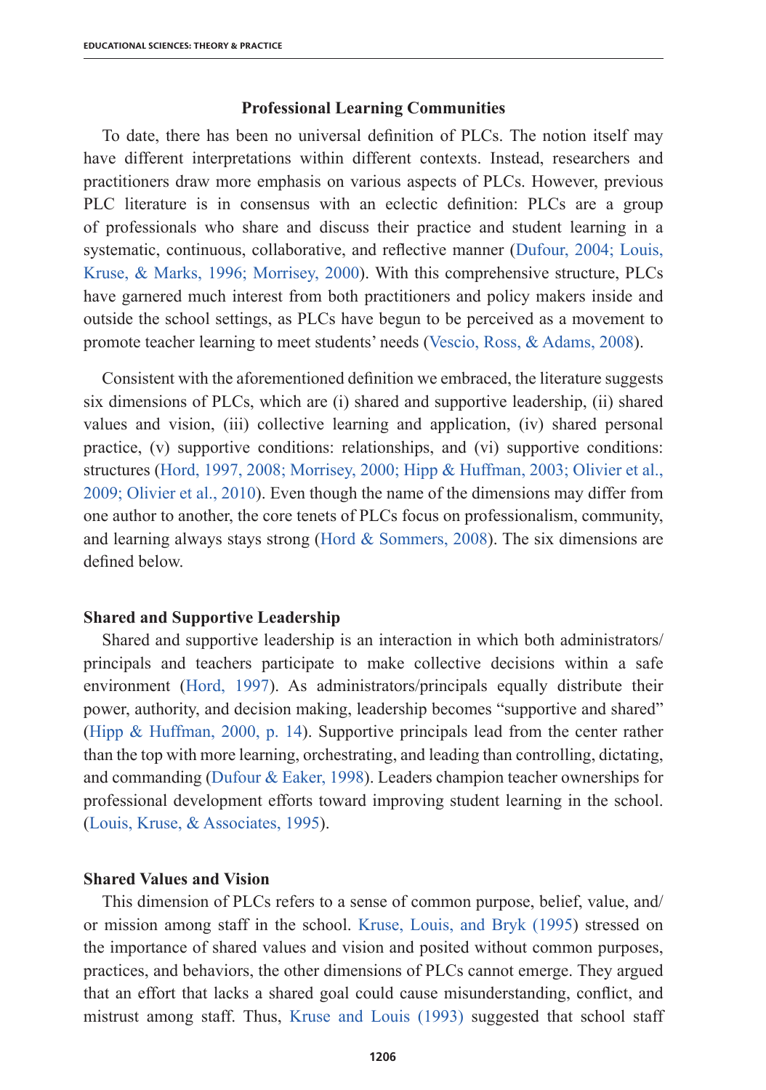#### **Professional Learning Communities**

To date, there has been no universal definition of PLCs. The notion itself may have different interpretations within different contexts. Instead, researchers and practitioners draw more emphasis on various aspects of PLCs. However, previous PLC literature is in consensus with an eclectic definition: PLCs are a group of professionals who share and discuss their practice and student learning in a systematic, continuous, collaborative, and reflective manner (Dufour, 2004; Louis, Kruse, & Marks, 1996; Morrisey, 2000). With this comprehensive structure, PLCs have garnered much interest from both practitioners and policy makers inside and outside the school settings, as PLCs have begun to be perceived as a movement to promote teacher learning to meet students' needs (Vescio, Ross, & Adams, 2008).

Consistent with the aforementioned definition we embraced, the literature suggests six dimensions of PLCs, which are (i) shared and supportive leadership, (ii) shared values and vision, (iii) collective learning and application, (iv) shared personal practice, (v) supportive conditions: relationships, and (vi) supportive conditions: structures (Hord, 1997, 2008; Morrisey, 2000; Hipp & Huffman, 2003; Olivier et al., 2009; Olivier et al., 2010). Even though the name of the dimensions may differ from one author to another, the core tenets of PLCs focus on professionalism, community, and learning always stays strong (Hord  $&$  Sommers, 2008). The six dimensions are defined below.

## **Shared and Supportive Leadership**

Shared and supportive leadership is an interaction in which both administrators/ principals and teachers participate to make collective decisions within a safe environment (Hord, 1997). As administrators/principals equally distribute their power, authority, and decision making, leadership becomes "supportive and shared" (Hipp & Huffman, 2000, p. 14). Supportive principals lead from the center rather than the top with more learning, orchestrating, and leading than controlling, dictating, and commanding (Dufour & Eaker, 1998). Leaders champion teacher ownerships for professional development efforts toward improving student learning in the school. (Louis, Kruse, & Associates, 1995).

# **Shared Values and Vision**

This dimension of PLCs refers to a sense of common purpose, belief, value, and/ or mission among staff in the school. Kruse, Louis, and Bryk (1995) stressed on the importance of shared values and vision and posited without common purposes, practices, and behaviors, the other dimensions of PLCs cannot emerge. They argued that an effort that lacks a shared goal could cause misunderstanding, conflict, and mistrust among staff. Thus, Kruse and Louis (1993) suggested that school staff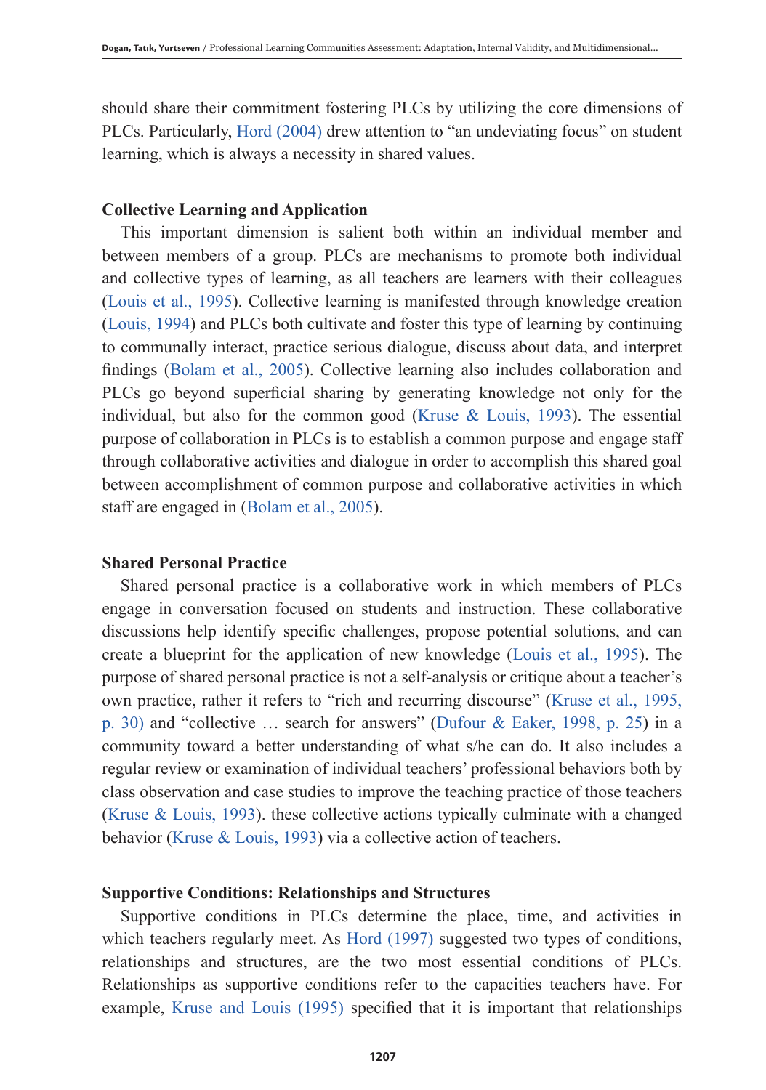should share their commitment fostering PLCs by utilizing the core dimensions of PLCs. Particularly, Hord (2004) drew attention to "an undeviating focus" on student learning, which is always a necessity in shared values.

### **Collective Learning and Application**

This important dimension is salient both within an individual member and between members of a group. PLCs are mechanisms to promote both individual and collective types of learning, as all teachers are learners with their colleagues (Louis et al., 1995). Collective learning is manifested through knowledge creation (Louis, 1994) and PLCs both cultivate and foster this type of learning by continuing to communally interact, practice serious dialogue, discuss about data, and interpret findings (Bolam et al., 2005). Collective learning also includes collaboration and PLCs go beyond superficial sharing by generating knowledge not only for the individual, but also for the common good (Kruse  $\&$  Louis, 1993). The essential purpose of collaboration in PLCs is to establish a common purpose and engage staff through collaborative activities and dialogue in order to accomplish this shared goal between accomplishment of common purpose and collaborative activities in which staff are engaged in (Bolam et al., 2005).

# **Shared Personal Practice**

Shared personal practice is a collaborative work in which members of PLCs engage in conversation focused on students and instruction. These collaborative discussions help identify specific challenges, propose potential solutions, and can create a blueprint for the application of new knowledge (Louis et al., 1995). The purpose of shared personal practice is not a self-analysis or critique about a teacher's own practice, rather it refers to "rich and recurring discourse" (Kruse et al., 1995, p. 30) and "collective … search for answers" (Dufour & Eaker, 1998, p. 25) in a community toward a better understanding of what s/he can do. It also includes a regular review or examination of individual teachers' professional behaviors both by class observation and case studies to improve the teaching practice of those teachers (Kruse & Louis, 1993). these collective actions typically culminate with a changed behavior (Kruse & Louis, 1993) via a collective action of teachers.

### **Supportive Conditions: Relationships and Structures**

Supportive conditions in PLCs determine the place, time, and activities in which teachers regularly meet. As Hord (1997) suggested two types of conditions, relationships and structures, are the two most essential conditions of PLCs. Relationships as supportive conditions refer to the capacities teachers have. For example, Kruse and Louis (1995) specified that it is important that relationships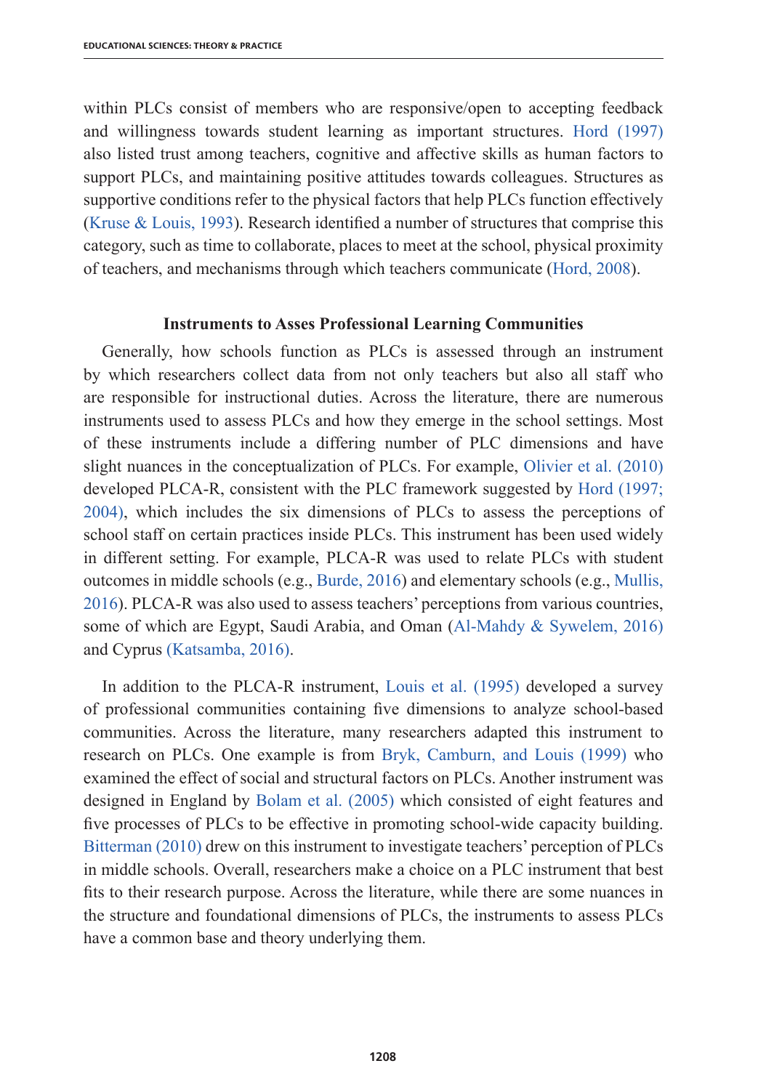within PLCs consist of members who are responsive/open to accepting feedback and willingness towards student learning as important structures. Hord (1997) also listed trust among teachers, cognitive and affective skills as human factors to support PLCs, and maintaining positive attitudes towards colleagues. Structures as supportive conditions refer to the physical factors that help PLCs function effectively (Kruse & Louis, 1993). Research identified a number of structures that comprise this category, such as time to collaborate, places to meet at the school, physical proximity of teachers, and mechanisms through which teachers communicate (Hord, 2008).

#### **Instruments to Asses Professional Learning Communities**

Generally, how schools function as PLCs is assessed through an instrument by which researchers collect data from not only teachers but also all staff who are responsible for instructional duties. Across the literature, there are numerous instruments used to assess PLCs and how they emerge in the school settings. Most of these instruments include a differing number of PLC dimensions and have slight nuances in the conceptualization of PLCs. For example, Olivier et al. (2010) developed PLCA-R, consistent with the PLC framework suggested by Hord (1997; 2004), which includes the six dimensions of PLCs to assess the perceptions of school staff on certain practices inside PLCs. This instrument has been used widely in different setting. For example, PLCA-R was used to relate PLCs with student outcomes in middle schools (e.g., Burde, 2016) and elementary schools (e.g., Mullis, 2016). PLCA-R was also used to assess teachers' perceptions from various countries, some of which are Egypt, Saudi Arabia, and Oman (Al-Mahdy & Sywelem, 2016) and Cyprus (Katsamba, 2016).

In addition to the PLCA-R instrument, Louis et al. (1995) developed a survey of professional communities containing five dimensions to analyze school-based communities. Across the literature, many researchers adapted this instrument to research on PLCs. One example is from Bryk, Camburn, and Louis (1999) who examined the effect of social and structural factors on PLCs. Another instrument was designed in England by Bolam et al. (2005) which consisted of eight features and five processes of PLCs to be effective in promoting school-wide capacity building. Bitterman (2010) drew on this instrument to investigate teachers' perception of PLCs in middle schools. Overall, researchers make a choice on a PLC instrument that best fits to their research purpose. Across the literature, while there are some nuances in the structure and foundational dimensions of PLCs, the instruments to assess PLCs have a common base and theory underlying them.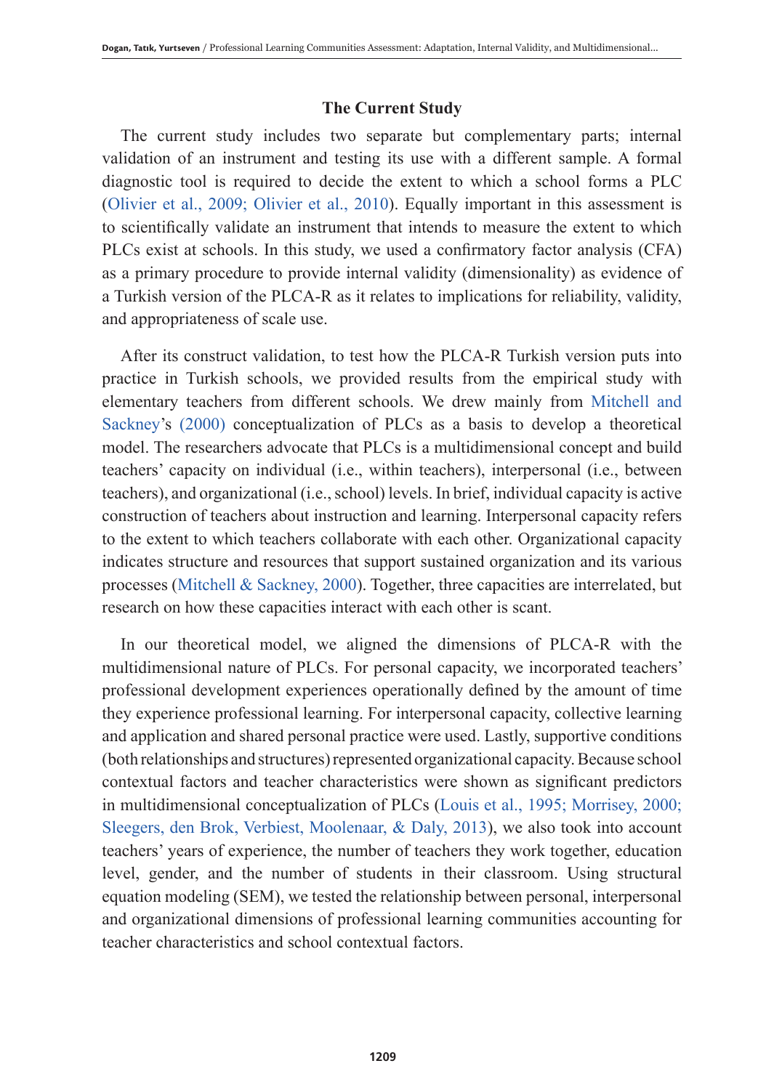# **The Current Study**

The current study includes two separate but complementary parts; internal validation of an instrument and testing its use with a different sample. A formal diagnostic tool is required to decide the extent to which a school forms a PLC (Olivier et al., 2009; Olivier et al., 2010). Equally important in this assessment is to scientifically validate an instrument that intends to measure the extent to which PLCs exist at schools. In this study, we used a confirmatory factor analysis (CFA) as a primary procedure to provide internal validity (dimensionality) as evidence of a Turkish version of the PLCA-R as it relates to implications for reliability, validity, and appropriateness of scale use.

After its construct validation, to test how the PLCA-R Turkish version puts into practice in Turkish schools, we provided results from the empirical study with elementary teachers from different schools. We drew mainly from Mitchell and Sackney's (2000) conceptualization of PLCs as a basis to develop a theoretical model. The researchers advocate that PLCs is a multidimensional concept and build teachers' capacity on individual (i.e., within teachers), interpersonal (i.e., between teachers), and organizational (i.e., school) levels. In brief, individual capacity is active construction of teachers about instruction and learning. Interpersonal capacity refers to the extent to which teachers collaborate with each other. Organizational capacity indicates structure and resources that support sustained organization and its various processes (Mitchell  $&$  Sackney, 2000). Together, three capacities are interrelated, but research on how these capacities interact with each other is scant.

In our theoretical model, we aligned the dimensions of PLCA-R with the multidimensional nature of PLCs. For personal capacity, we incorporated teachers' professional development experiences operationally defined by the amount of time they experience professional learning. For interpersonal capacity, collective learning and application and shared personal practice were used. Lastly, supportive conditions (both relationships and structures) represented organizational capacity. Because school contextual factors and teacher characteristics were shown as significant predictors in multidimensional conceptualization of PLCs (Louis et al., 1995; Morrisey, 2000; Sleegers, den Brok, Verbiest, Moolenaar, & Daly, 2013), we also took into account teachers' years of experience, the number of teachers they work together, education level, gender, and the number of students in their classroom. Using structural equation modeling (SEM), we tested the relationship between personal, interpersonal and organizational dimensions of professional learning communities accounting for teacher characteristics and school contextual factors.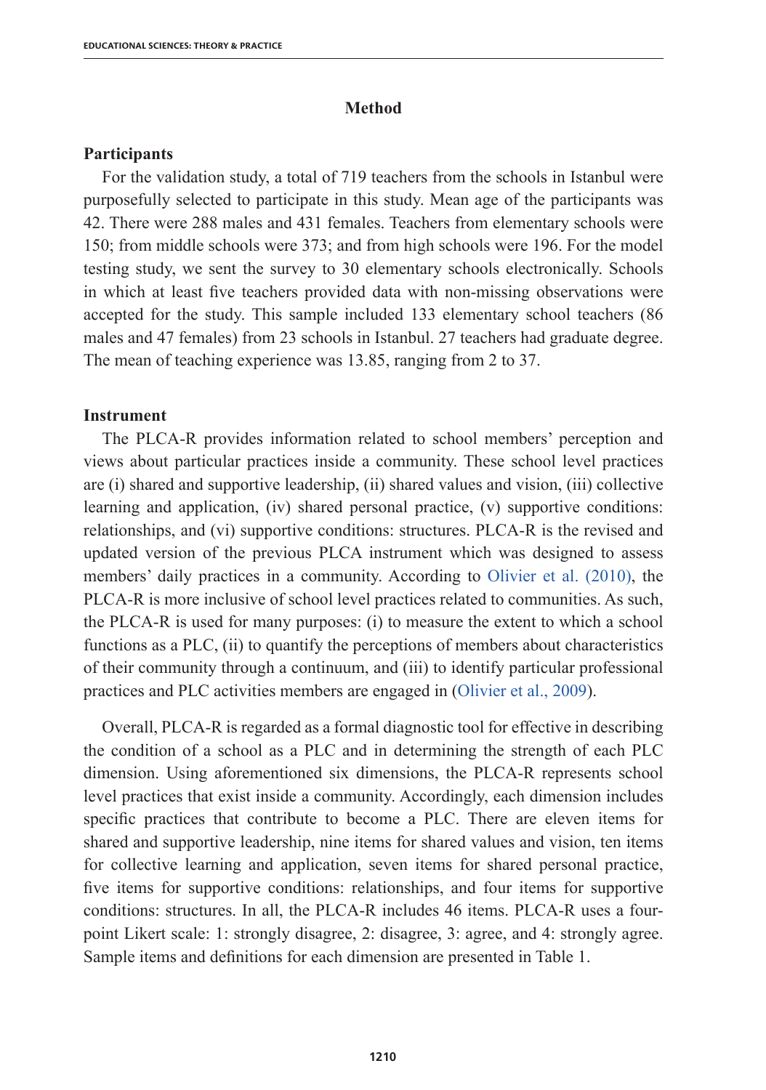# **Method**

#### **Participants**

For the validation study, a total of 719 teachers from the schools in Istanbul were purposefully selected to participate in this study. Mean age of the participants was 42. There were 288 males and 431 females. Teachers from elementary schools were 150; from middle schools were 373; and from high schools were 196. For the model testing study, we sent the survey to 30 elementary schools electronically. Schools in which at least five teachers provided data with non-missing observations were accepted for the study. This sample included 133 elementary school teachers (86 males and 47 females) from 23 schools in Istanbul. 27 teachers had graduate degree. The mean of teaching experience was 13.85, ranging from 2 to 37.

#### **Instrument**

The PLCA-R provides information related to school members' perception and views about particular practices inside a community. These school level practices are (i) shared and supportive leadership, (ii) shared values and vision, (iii) collective learning and application, (iv) shared personal practice, (v) supportive conditions: relationships, and (vi) supportive conditions: structures. PLCA-R is the revised and updated version of the previous PLCA instrument which was designed to assess members' daily practices in a community. According to Olivier et al. (2010), the PLCA-R is more inclusive of school level practices related to communities. As such, the PLCA-R is used for many purposes: (i) to measure the extent to which a school functions as a PLC, (ii) to quantify the perceptions of members about characteristics of their community through a continuum, and (iii) to identify particular professional practices and PLC activities members are engaged in (Olivier et al., 2009).

Overall, PLCA-R is regarded as a formal diagnostic tool for effective in describing the condition of a school as a PLC and in determining the strength of each PLC dimension. Using aforementioned six dimensions, the PLCA-R represents school level practices that exist inside a community. Accordingly, each dimension includes specific practices that contribute to become a PLC. There are eleven items for shared and supportive leadership, nine items for shared values and vision, ten items for collective learning and application, seven items for shared personal practice, five items for supportive conditions: relationships, and four items for supportive conditions: structures. In all, the PLCA-R includes 46 items. PLCA-R uses a fourpoint Likert scale: 1: strongly disagree, 2: disagree, 3: agree, and 4: strongly agree. Sample items and definitions for each dimension are presented in Table 1.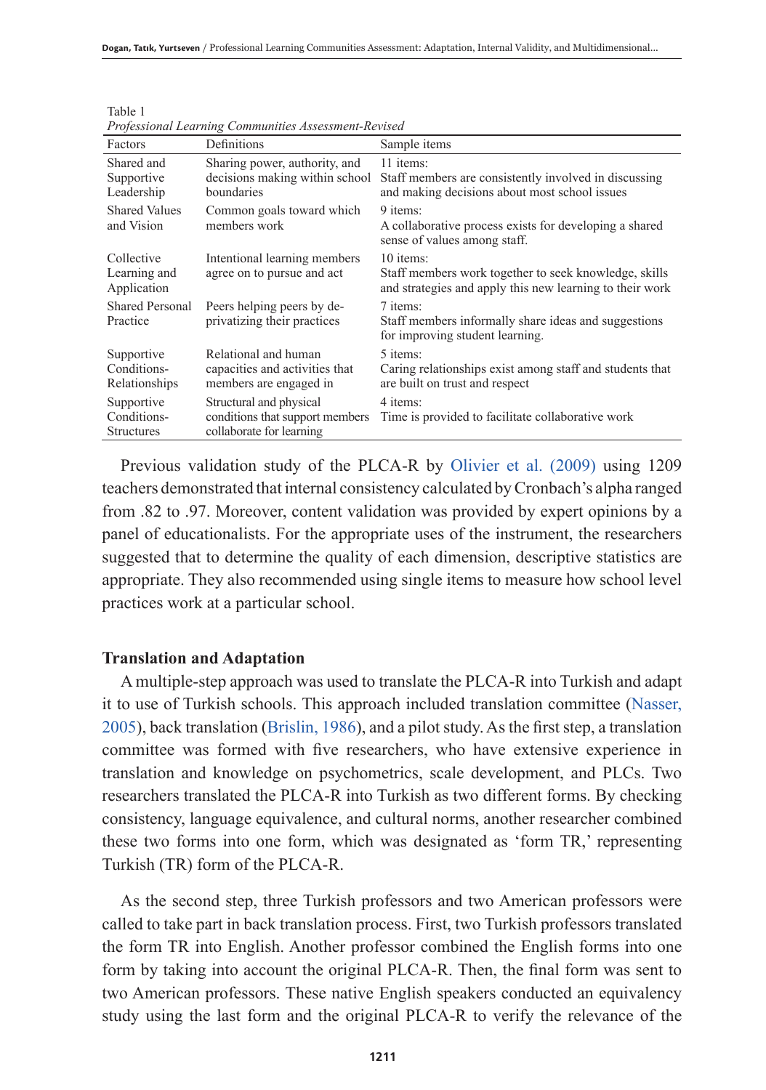| Professional Learning Communities Assessment-Revisea |                                                                                        |                                                                                                                                |  |  |  |
|------------------------------------------------------|----------------------------------------------------------------------------------------|--------------------------------------------------------------------------------------------------------------------------------|--|--|--|
| Factors                                              | Definitions                                                                            | Sample items                                                                                                                   |  |  |  |
| Shared and<br>Supportive<br>Leadership               | Sharing power, authority, and<br>decisions making within school<br>boundaries          | 11 items:<br>Staff members are consistently involved in discussing<br>and making decisions about most school issues            |  |  |  |
| <b>Shared Values</b><br>and Vision                   | Common goals toward which<br>members work                                              | 9 items:<br>A collaborative process exists for developing a shared<br>sense of values among staff.                             |  |  |  |
| Collective<br>Learning and<br>Application            | Intentional learning members<br>agree on to pursue and act                             | 10 items:<br>Staff members work together to seek knowledge, skills<br>and strategies and apply this new learning to their work |  |  |  |
| <b>Shared Personal</b><br>Practice                   | Peers helping peers by de-<br>privatizing their practices                              | 7 items:<br>Staff members informally share ideas and suggestions<br>for improving student learning.                            |  |  |  |
| Supportive<br>Conditions-<br>Relationships           | Relational and human<br>capacities and activities that<br>members are engaged in       | 5 items:<br>Caring relationships exist among staff and students that<br>are built on trust and respect                         |  |  |  |
| Supportive<br>Conditions-<br><b>Structures</b>       | Structural and physical<br>conditions that support members<br>collaborate for learning | 4 items:<br>Time is provided to facilitate collaborative work                                                                  |  |  |  |

Table 1 *Professional Learning Communities Assessment-Revised*

Previous validation study of the PLCA-R by Olivier et al. (2009) using 1209 teachers demonstrated that internal consistency calculated by Cronbach's alpha ranged from .82 to .97. Moreover, content validation was provided by expert opinions by a panel of educationalists. For the appropriate uses of the instrument, the researchers suggested that to determine the quality of each dimension, descriptive statistics are appropriate. They also recommended using single items to measure how school level practices work at a particular school.

#### **Translation and Adaptation**

A multiple-step approach was used to translate the PLCA-R into Turkish and adapt it to use of Turkish schools. This approach included translation committee (Nasser, 2005), back translation (Brislin, 1986), and a pilot study. As the first step, a translation committee was formed with five researchers, who have extensive experience in translation and knowledge on psychometrics, scale development, and PLCs. Two researchers translated the PLCA-R into Turkish as two different forms. By checking consistency, language equivalence, and cultural norms, another researcher combined these two forms into one form, which was designated as 'form TR,' representing Turkish (TR) form of the PLCA-R.

As the second step, three Turkish professors and two American professors were called to take part in back translation process. First, two Turkish professors translated the form TR into English. Another professor combined the English forms into one form by taking into account the original PLCA-R. Then, the final form was sent to two American professors. These native English speakers conducted an equivalency study using the last form and the original PLCA-R to verify the relevance of the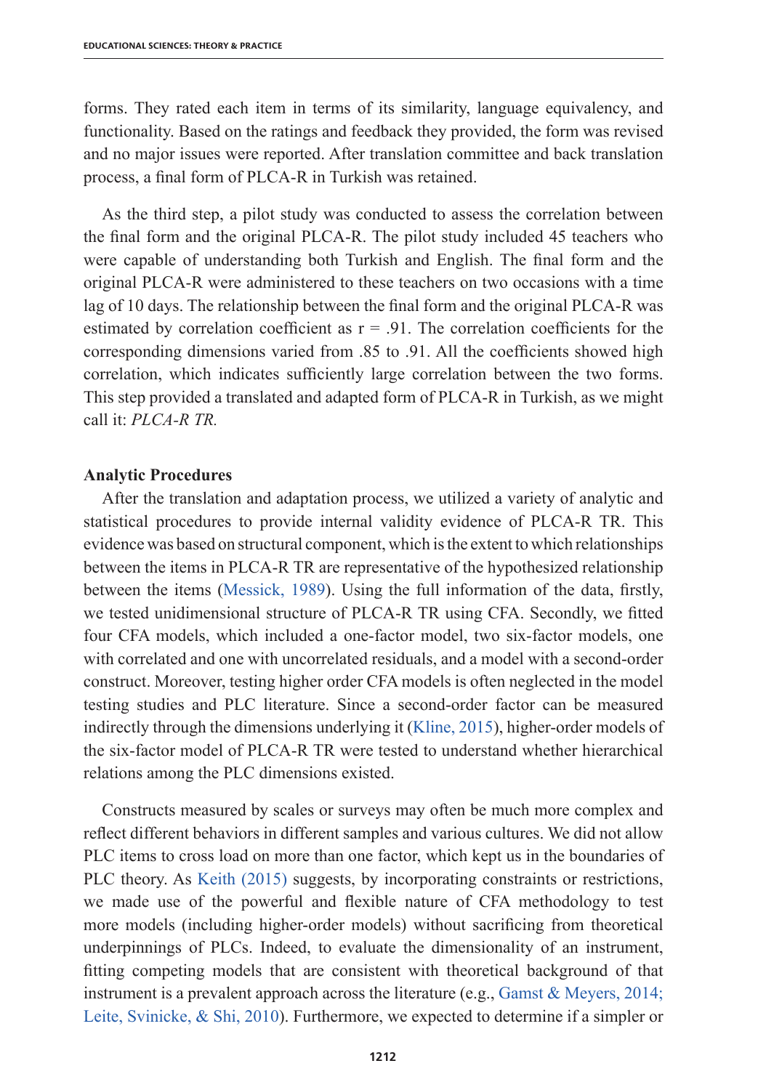forms. They rated each item in terms of its similarity, language equivalency, and functionality. Based on the ratings and feedback they provided, the form was revised and no major issues were reported. After translation committee and back translation process, a final form of PLCA-R in Turkish was retained.

As the third step, a pilot study was conducted to assess the correlation between the final form and the original PLCA-R. The pilot study included 45 teachers who were capable of understanding both Turkish and English. The final form and the original PLCA-R were administered to these teachers on two occasions with a time lag of 10 days. The relationship between the final form and the original PLCA-R was estimated by correlation coefficient as  $r = .91$ . The correlation coefficients for the corresponding dimensions varied from .85 to .91. All the coefficients showed high correlation, which indicates sufficiently large correlation between the two forms. This step provided a translated and adapted form of PLCA-R in Turkish, as we might call it: *PLCA-R TR.* 

#### **Analytic Procedures**

After the translation and adaptation process, we utilized a variety of analytic and statistical procedures to provide internal validity evidence of PLCA-R TR. This evidence was based on structural component, which is the extent to which relationships between the items in PLCA-R TR are representative of the hypothesized relationship between the items (Messick, 1989). Using the full information of the data, firstly, we tested unidimensional structure of PLCA-R TR using CFA. Secondly, we fitted four CFA models, which included a one-factor model, two six-factor models, one with correlated and one with uncorrelated residuals, and a model with a second-order construct. Moreover, testing higher order CFA models is often neglected in the model testing studies and PLC literature. Since a second-order factor can be measured indirectly through the dimensions underlying it (Kline, 2015), higher-order models of the six-factor model of PLCA-R TR were tested to understand whether hierarchical relations among the PLC dimensions existed.

Constructs measured by scales or surveys may often be much more complex and reflect different behaviors in different samples and various cultures. We did not allow PLC items to cross load on more than one factor, which kept us in the boundaries of PLC theory. As Keith (2015) suggests, by incorporating constraints or restrictions, we made use of the powerful and flexible nature of CFA methodology to test more models (including higher-order models) without sacrificing from theoretical underpinnings of PLCs. Indeed, to evaluate the dimensionality of an instrument, fitting competing models that are consistent with theoretical background of that instrument is a prevalent approach across the literature (e.g., Gamst & Meyers, 2014; Leite, Svinicke, & Shi, 2010). Furthermore, we expected to determine if a simpler or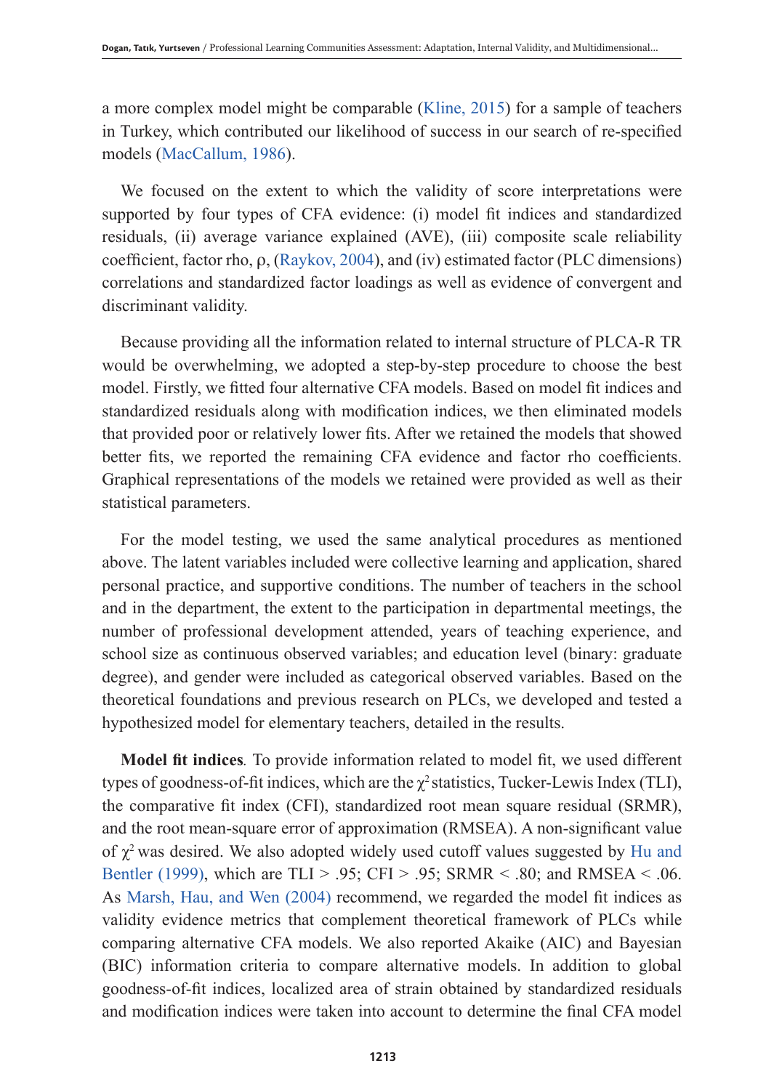a more complex model might be comparable (Kline, 2015) for a sample of teachers in Turkey, which contributed our likelihood of success in our search of re-specified models (MacCallum, 1986).

We focused on the extent to which the validity of score interpretations were supported by four types of CFA evidence: (i) model fit indices and standardized residuals, (ii) average variance explained (AVE), (iii) composite scale reliability coefficient, factor rho,  $\rho$ , (Raykov, 2004), and (iv) estimated factor (PLC dimensions) correlations and standardized factor loadings as well as evidence of convergent and discriminant validity.

Because providing all the information related to internal structure of PLCA-R TR would be overwhelming, we adopted a step-by-step procedure to choose the best model. Firstly, we fitted four alternative CFA models. Based on model fit indices and standardized residuals along with modification indices, we then eliminated models that provided poor or relatively lower fits. After we retained the models that showed better fits, we reported the remaining CFA evidence and factor rho coefficients. Graphical representations of the models we retained were provided as well as their statistical parameters.

For the model testing, we used the same analytical procedures as mentioned above. The latent variables included were collective learning and application, shared personal practice, and supportive conditions. The number of teachers in the school and in the department, the extent to the participation in departmental meetings, the number of professional development attended, years of teaching experience, and school size as continuous observed variables; and education level (binary: graduate degree), and gender were included as categorical observed variables. Based on the theoretical foundations and previous research on PLCs, we developed and tested a hypothesized model for elementary teachers, detailed in the results.

**Model fit indices***.* To provide information related to model fit, we used different types of goodness-of-fit indices, which are the  $\chi^2$  statistics, Tucker-Lewis Index (TLI), the comparative fit index (CFI), standardized root mean square residual (SRMR), and the root mean-square error of approximation (RMSEA). A non-significant value of  $\chi^2$  was desired. We also adopted widely used cutoff values suggested by Hu and Bentler (1999), which are TLI > .95; CFI > .95; SRMR < .80; and RMSEA < .06. As Marsh, Hau, and Wen (2004) recommend, we regarded the model fit indices as validity evidence metrics that complement theoretical framework of PLCs while comparing alternative CFA models. We also reported Akaike (AIC) and Bayesian (BIC) information criteria to compare alternative models. In addition to global goodness-of-fit indices, localized area of strain obtained by standardized residuals and modification indices were taken into account to determine the final CFA model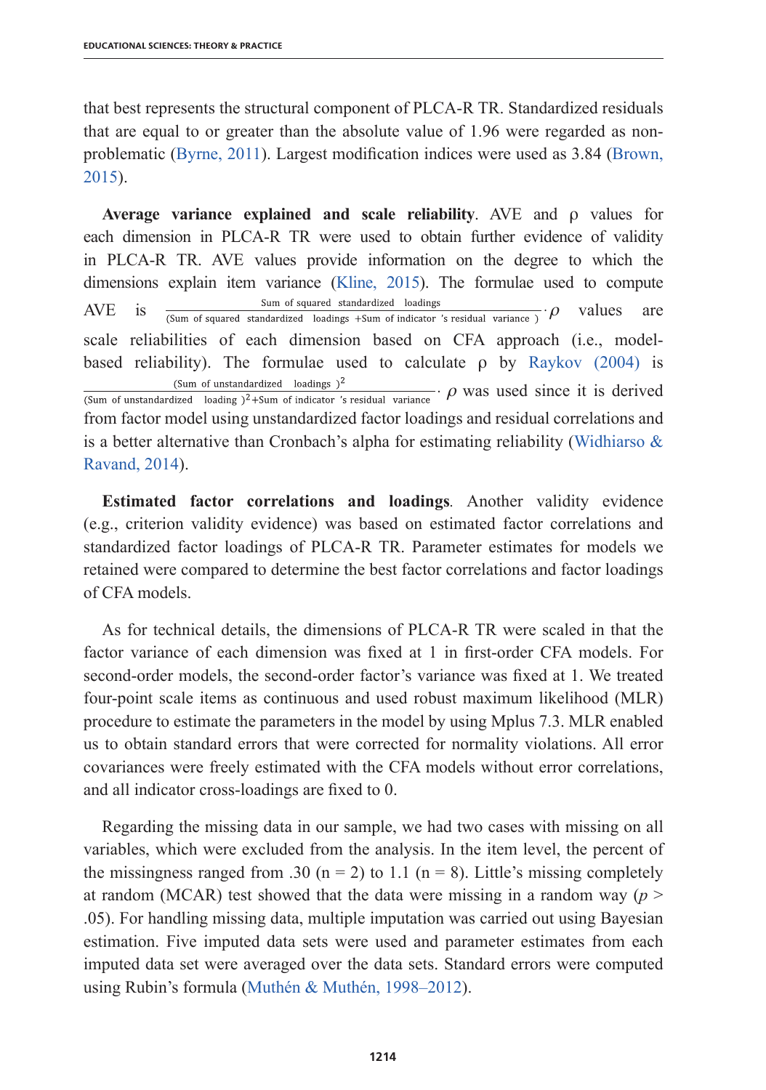that best represents the structural component of PLCA-R TR. Standardized residuals that are equal to or greater than the absolute value of 1.96 were regarded as nonproblematic (Byrne, 2011). Largest modification indices were used as 3.84 (Brown, 2015).

Average variance explained and scale reliability. AVE and  $\rho$  values for each dimension in PLCA-R TR were used to obtain further evidence of validity in PLCA-R TR. AVE values provide information on the degree to which the dimensions explain item variance (Kline, 2015). The formulae used to compute AVE is  $\frac{Sum \text{ of squared standardized loadings}}{(Sum of squared standardized loadings + Sum of indicated's residual variance)}$   $\rho$  values are scale reliabilities of each dimension based on CFA approach (i.e., modelbased reliability). The formulae used to calculate  $\rho$  by Raykov (2004) is (Sum of unstandardized loading  $)^2+$ Sum of indicator 's residual variance  $\cdot$   $\rho$  was used since it is derived (Sum of unstandardized loadings  $)^2$ from factor model using unstandardized factor loadings and residual correlations and is a better alternative than Cronbach's alpha for estimating reliability (Widhiarso  $\&$ Ravand, 2014).

**Estimated factor correlations and loadings***.* Another validity evidence (e.g., criterion validity evidence) was based on estimated factor correlations and standardized factor loadings of PLCA-R TR. Parameter estimates for models we retained were compared to determine the best factor correlations and factor loadings of CFA models.

As for technical details, the dimensions of PLCA-R TR were scaled in that the factor variance of each dimension was fixed at 1 in first-order CFA models. For second-order models, the second-order factor's variance was fixed at 1. We treated four-point scale items as continuous and used robust maximum likelihood (MLR) procedure to estimate the parameters in the model by using Mplus 7.3. MLR enabled us to obtain standard errors that were corrected for normality violations. All error covariances were freely estimated with the CFA models without error correlations, and all indicator cross-loadings are fixed to 0.

Regarding the missing data in our sample, we had two cases with missing on all variables, which were excluded from the analysis. In the item level, the percent of the missingness ranged from .30 ( $n = 2$ ) to 1.1 ( $n = 8$ ). Little's missing completely at random (MCAR) test showed that the data were missing in a random way ( $p >$ .05). For handling missing data, multiple imputation was carried out using Bayesian estimation. Five imputed data sets were used and parameter estimates from each imputed data set were averaged over the data sets. Standard errors were computed using Rubin's formula (Muthén & Muthén, 1998–2012).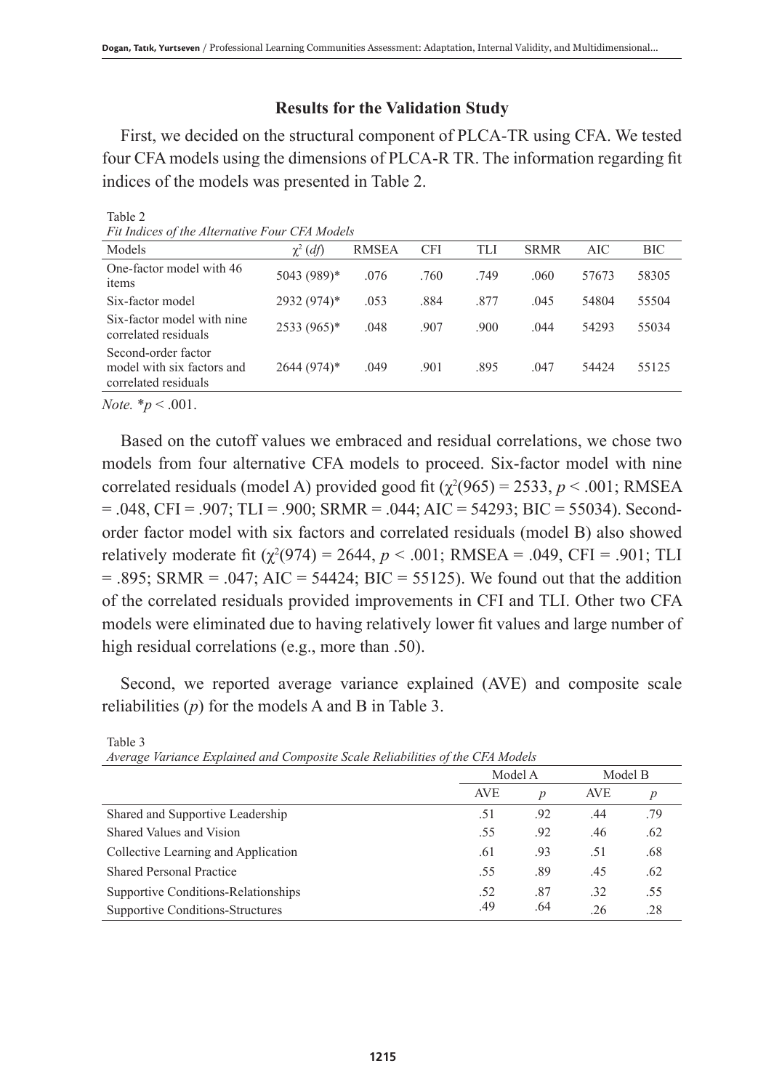# **Results for the Validation Study**

First, we decided on the structural component of PLCA-TR using CFA. We tested four CFA models using the dimensions of PLCA-R TR. The information regarding fit indices of the models was presented in Table 2.

| ru malces of the Atternative rour CrA models                              |               |              |            |      |             |       |       |
|---------------------------------------------------------------------------|---------------|--------------|------------|------|-------------|-------|-------|
| Models                                                                    | $\chi^2$ (df) | <b>RMSEA</b> | <b>CFI</b> | TLI  | <b>SRMR</b> | AIC   | BIC   |
| One-factor model with 46<br>items                                         | 5043 (989)*   | .076         | .760       | .749 | .060        | 57673 | 58305 |
| Six-factor model                                                          | 2932 (974)*   | .053         | .884       | .877 | .045        | 54804 | 55504 |
| Six-factor model with nine<br>correlated residuals                        | 2533 (965)*   | .048         | .907       | .900 | .044        | 54293 | 55034 |
| Second-order factor<br>model with six factors and<br>correlated residuals | 2644 (974)*   | .049         | .901       | .895 | .047        | 54424 | 55125 |
|                                                                           |               |              |            |      |             |       |       |

Table 2 *Fit Indices of the Alternative Four CFA Models*

*Note.* \**p* < .001.

Based on the cutoff values we embraced and residual correlations, we chose two models from four alternative CFA models to proceed. Six-factor model with nine correlated residuals (model A) provided good fit  $(\chi^2(965) = 2533, p < .001; RMSEA)$  $= 0.048$ , CFI = .907; TLI = .900; SRMR = .044; AIC = 54293; BIC = 55034). Secondorder factor model with six factors and correlated residuals (model B) also showed relatively moderate fit  $(\chi^2(974) = 2644, p < .001; RMSEA = .049, CFI = .901; TLI$  $=$  .895; SRMR  $=$  .047; AIC  $=$  54424; BIC  $=$  55125). We found out that the addition of the correlated residuals provided improvements in CFI and TLI. Other two CFA models were eliminated due to having relatively lower fit values and large number of high residual correlations (e.g., more than .50).

Second, we reported average variance explained (AVE) and composite scale reliabilities (*p*) for the models A and B in Table 3.

| Average variance Explained and Composite Scale Reliabilities of the CFA Models |            |                  |            |                  |  |  |
|--------------------------------------------------------------------------------|------------|------------------|------------|------------------|--|--|
|                                                                                | Model A    |                  | Model B    |                  |  |  |
|                                                                                | <b>AVE</b> | $\boldsymbol{p}$ | <b>AVE</b> | $\boldsymbol{p}$ |  |  |
| Shared and Supportive Leadership                                               | .51        | .92              | .44        | .79              |  |  |
| Shared Values and Vision                                                       | .55        | .92              | .46        | .62              |  |  |
| Collective Learning and Application                                            | .61        | .93              | .51        | .68              |  |  |
| <b>Shared Personal Practice</b>                                                | .55        | -89              | .45        | .62              |  |  |
| Supportive Conditions-Relationships                                            | .52        | .87              | .32        | .55              |  |  |
| Supportive Conditions-Structures                                               | .49        | .64              | .26        | .28              |  |  |

Table 3 *Average Variance Explained and Composite Scale Reliabilities of the CFA Models*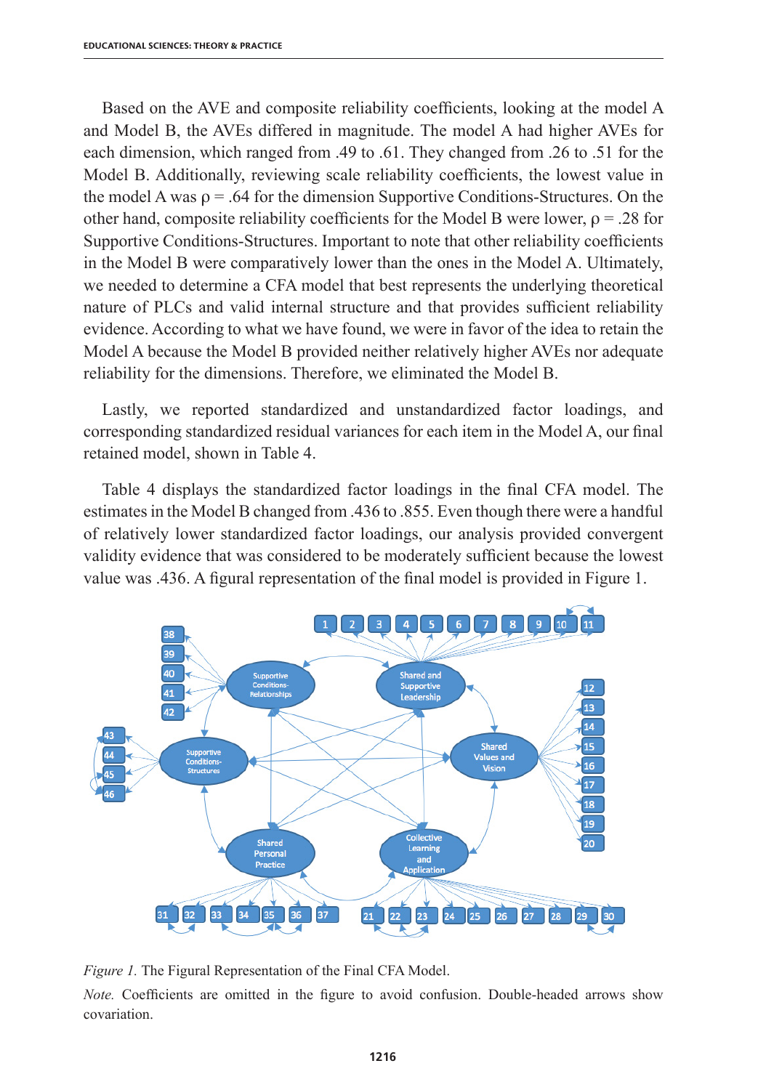Based on the AVE and composite reliability coefficients, looking at the model A and Model B, the AVEs differed in magnitude. The model A had higher AVEs for each dimension, which ranged from .49 to .61. They changed from .26 to .51 for the Model B. Additionally, reviewing scale reliability coefficients, the lowest value in the model A was  $\rho = 0.64$  for the dimension Supportive Conditions-Structures. On the other hand, composite reliability coefficients for the Model B were lower,  $\rho = 0.28$  for Supportive Conditions-Structures. Important to note that other reliability coefficients in the Model B were comparatively lower than the ones in the Model A. Ultimately, we needed to determine a CFA model that best represents the underlying theoretical nature of PLCs and valid internal structure and that provides sufficient reliability evidence. According to what we have found, we were in favor of the idea to retain the Model A because the Model B provided neither relatively higher AVEs nor adequate reliability for the dimensions. Therefore, we eliminated the Model B.

Lastly, we reported standardized and unstandardized factor loadings, and corresponding standardized residual variances for each item in the Model A, our final retained model, shown in Table 4.

Table 4 displays the standardized factor loadings in the final CFA model. The estimates in the Model B changed from .436 to .855. Even though there were a handful of relatively lower standardized factor loadings, our analysis provided convergent validity evidence that was considered to be moderately sufficient because the lowest value was .436. A figural representation of the final model is provided in Figure 1.



*Figure 1.* The Figural Representation of the Final CFA Model.

*Note.* Coefficients are omitted in the figure to avoid confusion. Double-headed arrows show covariation.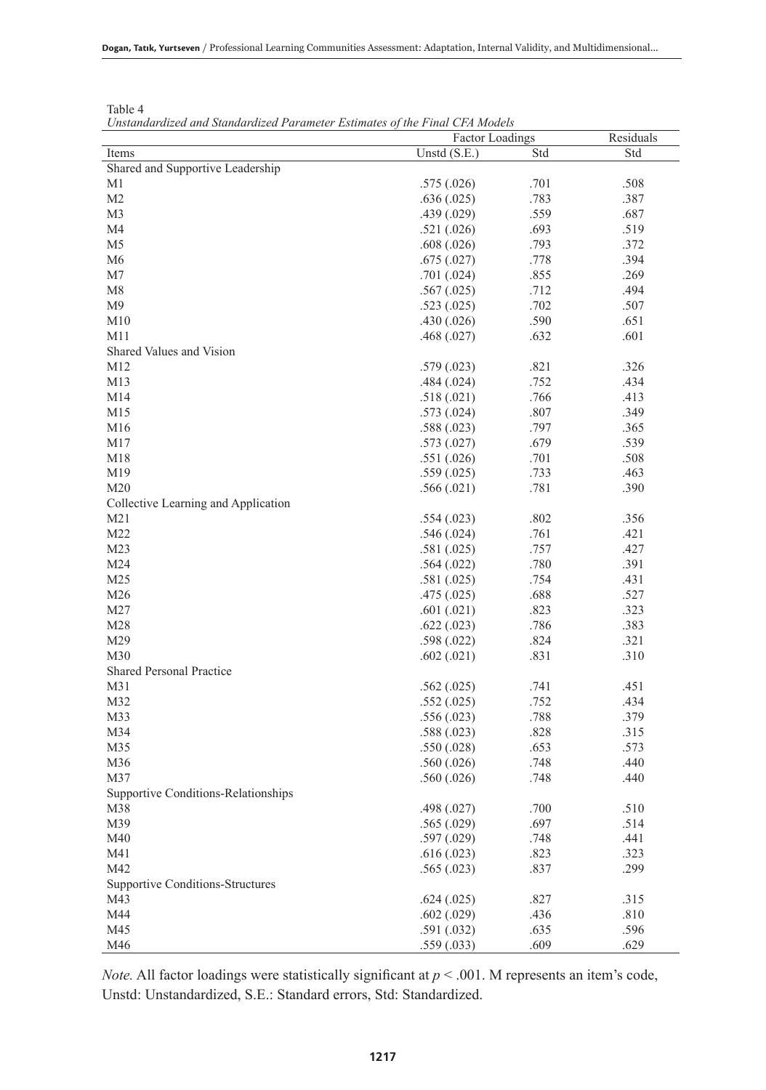|                                         | <b>Factor Loadings</b> |      | Residuals |
|-----------------------------------------|------------------------|------|-----------|
| Items                                   | Unstd $(S.E.)$         | Std  | Std       |
| Shared and Supportive Leadership        |                        |      |           |
| M1                                      | .575(.026)             | .701 | .508      |
| M <sub>2</sub>                          | .636(.025)             | .783 | .387      |
| M <sub>3</sub>                          | .439(.029)             | .559 | .687      |
| M4                                      | .521(.026)             | .693 | .519      |
| M <sub>5</sub>                          | .608(.026)             | .793 | .372      |
| M <sub>6</sub>                          | .675(.027)             | .778 | .394      |
| M <sub>7</sub>                          | .701(.024)             | .855 | .269      |
| M8                                      | .567(.025)             | .712 | .494      |
| M9                                      | .523(.025)             | .702 | .507      |
| M10                                     | .430(.026)             | .590 | .651      |
| M11                                     | .468(.027)             | .632 | .601      |
| Shared Values and Vision                |                        |      |           |
| M12                                     | .579(.023)             | .821 | .326      |
| M13                                     | .484(.024)             | .752 | .434      |
| M14                                     | .518(.021)             | .766 | .413      |
| M15                                     | .573(.024)             | .807 | .349      |
| M16                                     | .588(.023)             | .797 | .365      |
| M17                                     | .573(.027)             | .679 | .539      |
| M18                                     | .551(.026)             | .701 | .508      |
| M19                                     | .559(.025)             | .733 | .463      |
| M <sub>20</sub>                         | .566(.021)             | .781 | .390      |
| Collective Learning and Application     |                        |      |           |
| M21                                     | .554(.023)             | .802 | .356      |
| M22                                     | .546(.024)             | .761 | .421      |
| M <sub>23</sub>                         | .581(.025)             | .757 | .427      |
| M24                                     | .564(.022)             | .780 | .391      |
| M <sub>25</sub>                         | .581(.025)             | .754 | .431      |
| M26                                     | .475(.025)             | .688 | .527      |
| M27                                     | .601(.021)             | .823 | .323      |
| M28                                     | .622(.023)             | .786 | .383      |
| M29                                     | .598(.022)             | .824 | .321      |
| M30                                     | .602(.021)             | .831 | .310      |
| <b>Shared Personal Practice</b>         |                        |      |           |
| M31                                     | .562(.025)             | .741 | .451      |
| M32                                     | .552(.025)             | .752 | .434      |
| M33                                     | .556(.023)             | .788 | .379      |
| M34                                     | .588(.023)             | .828 | .315      |
| M35                                     | .550(.028)             | .653 | .573      |
| M36                                     | .560(.026)             | .748 | .440      |
| M37                                     | .560(.026)             | .748 | .440      |
| Supportive Conditions-Relationships     |                        |      |           |
| M38                                     | .498(.027)             | .700 | .510      |
| M39                                     | .565(.029)             | .697 | .514      |
| M40                                     | .597(.029)             | .748 | .441      |
| M41                                     | .616(.023)             | .823 | .323      |
| M42                                     | .565(.023)             | .837 | .299      |
| <b>Supportive Conditions-Structures</b> |                        |      |           |
| M43                                     | .624(.025)             | .827 | .315      |
| M44                                     | .602(.029)             | .436 | .810      |
| M45                                     | .591(.032)             | .635 | .596      |
| M46                                     | <u>.559 (.033)</u>     | .609 | .629      |

Table 4 *Unstandardized and Standardized Parameter Estimates of the Final CFA Models*

*Note.* All factor loadings were statistically significant at *p* < .001. M represents an item's code, Unstd: Unstandardized, S.E.: Standard errors, Std: Standardized.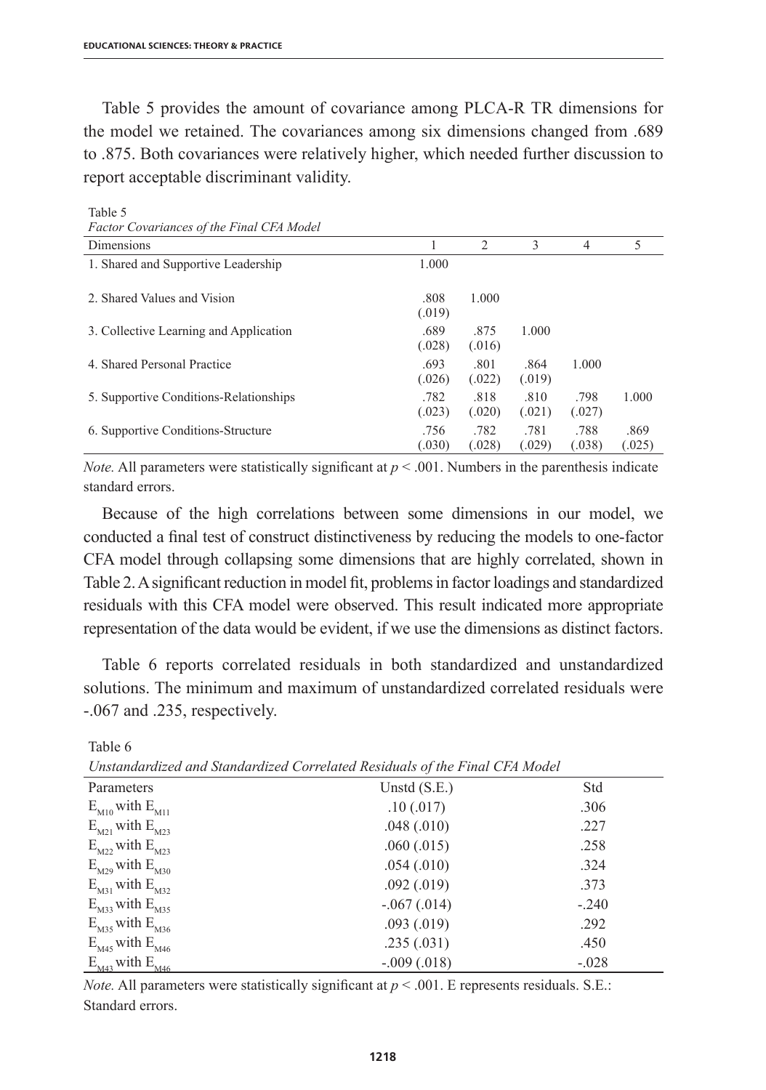Table 5 provides the amount of covariance among PLCA-R TR dimensions for the model we retained. The covariances among six dimensions changed from .689 to .875. Both covariances were relatively higher, which needed further discussion to report acceptable discriminant validity.

| <i>i</i> actor Covariances of the <i>i</i> that Critishouct |                |                |                |                |                |
|-------------------------------------------------------------|----------------|----------------|----------------|----------------|----------------|
| Dimensions                                                  |                | 2              | 3              | 4              | 5              |
| 1. Shared and Supportive Leadership                         | 1.000          |                |                |                |                |
| 2. Shared Values and Vision                                 | .808<br>(.019) | 1.000          |                |                |                |
| 3. Collective Learning and Application                      | .689<br>(.028) | .875<br>(.016) | 1.000          |                |                |
| 4. Shared Personal Practice                                 | .693<br>(.026) | .801<br>(.022) | .864<br>(.019) | 1.000          |                |
| 5. Supportive Conditions-Relationships                      | .782<br>(.023) | .818<br>(.020) | .810<br>(.021) | .798<br>(.027) | 1.000          |
| 6. Supportive Conditions-Structure                          | .756<br>(.030) | .782<br>(.028) | .781<br>(.029) | .788<br>(.038) | .869<br>(.025) |

*Factor Covariances of the Final CFA Model*

Table 5

Table 6

*Note.* All parameters were statistically significant at  $p < .001$ . Numbers in the parenthesis indicate standard errors.

Because of the high correlations between some dimensions in our model, we conducted a final test of construct distinctiveness by reducing the models to one-factor CFA model through collapsing some dimensions that are highly correlated, shown in Table 2. A significant reduction in model fit, problems in factor loadings and standardized residuals with this CFA model were observed. This result indicated more appropriate representation of the data would be evident, if we use the dimensions as distinct factors.

Table 6 reports correlated residuals in both standardized and unstandardized solutions. The minimum and maximum of unstandardized correlated residuals were -.067 and .235, respectively.

| Unstandardized and Standardized Correlated Residuals of the Final CFA Model |                |         |  |  |
|-----------------------------------------------------------------------------|----------------|---------|--|--|
| Parameters                                                                  | Unstd $(S.E.)$ | Std     |  |  |
| $E_{M10}$ with $E_{M11}$                                                    | .10(.017)      | .306    |  |  |
| $E_{M21}$ with $E_{M23}$                                                    | .048(.010)     | .227    |  |  |
| $E_{M22}$ with $E_{M23}$                                                    | .060(.015)     | .258    |  |  |
| $E_{M29}$ with $E_{M30}$                                                    | .054(.010)     | .324    |  |  |
| $E_{M31}$ with $E_{M32}$                                                    | .092(.019)     | .373    |  |  |
| $E_{M33}$ with $E_{M35}$                                                    | $-.067(.014)$  | $-.240$ |  |  |
| $E_{M35}$ with $E_{M36}$                                                    | .093(.019)     | .292    |  |  |
| $E_{M45}$ with $E_{M46}$                                                    | .235(.031)     | .450    |  |  |
| $E_{M43}$ with $E_{M46}$                                                    | $-.009(.018)$  | $-.028$ |  |  |

*Unstandardized and Standardized Correlated Residuals of the Final CFA Model*

*Note.* All parameters were statistically significant at  $p < .001$ . E represents residuals. S.E.: Standard errors.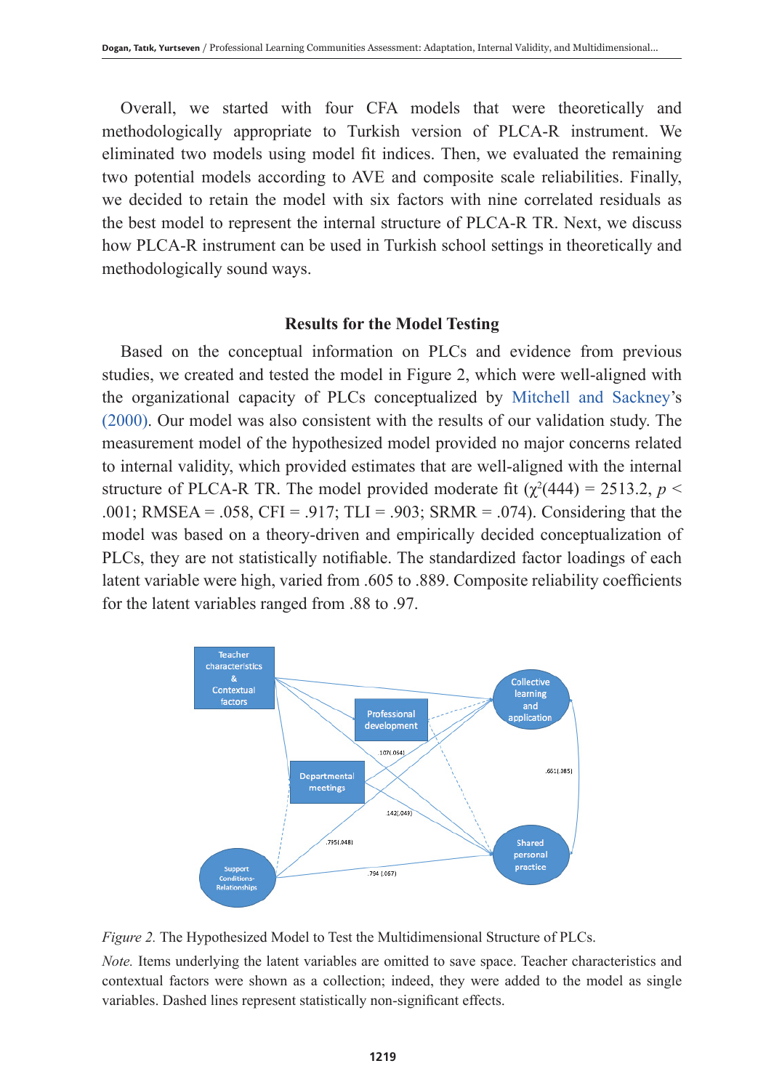Overall, we started with four CFA models that were theoretically and methodologically appropriate to Turkish version of PLCA-R instrument. We eliminated two models using model fit indices. Then, we evaluated the remaining two potential models according to AVE and composite scale reliabilities. Finally, we decided to retain the model with six factors with nine correlated residuals as the best model to represent the internal structure of PLCA-R TR. Next, we discuss how PLCA-R instrument can be used in Turkish school settings in theoretically and methodologically sound ways.

#### **Results for the Model Testing**

Based on the conceptual information on PLCs and evidence from previous studies, we created and tested the model in Figure 2, which were well-aligned with the organizational capacity of PLCs conceptualized by Mitchell and Sackney's (2000). Our model was also consistent with the results of our validation study. The measurement model of the hypothesized model provided no major concerns related to internal validity, which provided estimates that are well-aligned with the internal structure of PLCA-R TR. The model provided moderate fit  $(\chi^2(444) = 2513.2, p <$ .001; RMSEA = .058, CFI = .917; TLI = .903; SRMR = .074). Considering that the model was based on a theory-driven and empirically decided conceptualization of PLCs, they are not statistically notifiable. The standardized factor loadings of each latent variable were high, varied from .605 to .889. Composite reliability coefficients for the latent variables ranged from .88 to .97.





*Note.* Items underlying the latent variables are omitted to save space. Teacher characteristics and contextual factors were shown as a collection; indeed, they were added to the model as single variables. Dashed lines represent statistically non-significant effects.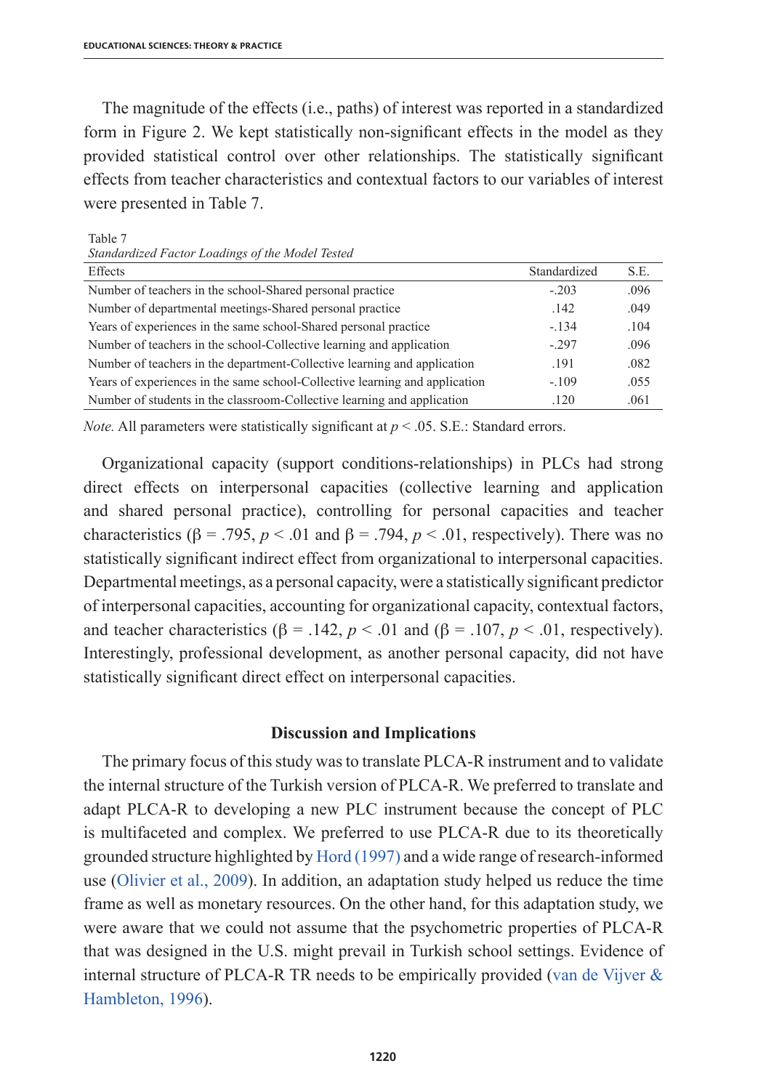The magnitude of the effects (i.e., paths) of interest was reported in a standardized form in Figure 2. We kept statistically non-significant effects in the model as they provided statistical control over other relationships. The statistically significant effects from teacher characteristics and contextual factors to our variables of interest were presented in Table 7.

Table 7

| Effects                                                                     | Standardized | S.E. |
|-----------------------------------------------------------------------------|--------------|------|
| Number of teachers in the school-Shared personal practice                   | $-.203$      | .096 |
| Number of departmental meetings-Shared personal practice                    | .142         | .049 |
| Years of experiences in the same school-Shared personal practice            | $-.134$      | .104 |
| Number of teachers in the school-Collective learning and application        | $-297$       | .096 |
| Number of teachers in the department-Collective learning and application    | .191         | .082 |
| Years of experiences in the same school-Collective learning and application | $-.109$      | .055 |
| Number of students in the classroom-Collective learning and application     | .120         | .061 |

*Note.* All parameters were statistically significant at  $p < .05$ . S.E.: Standard errors.

Organizational capacity (support conditions-relationships) in PLCs had strong direct effects on interpersonal capacities (collective learning and application and shared personal practice), controlling for personal capacities and teacher characteristics ( $\beta$  = .795,  $p$  < .01 and  $\beta$  = .794,  $p$  < .01, respectively). There was no statistically significant indirect effect from organizational to interpersonal capacities. Departmental meetings, as a personal capacity, were a statistically significant predictor of interpersonal capacities, accounting for organizational capacity, contextual factors, and teacher characteristics ( $\beta$  = .142,  $p < .01$  and ( $\beta$  = .107,  $p < .01$ , respectively). Interestingly, professional development, as another personal capacity, did not have statistically significant direct effect on interpersonal capacities.

#### **Discussion and Implications**

The primary focus of this study was to translate PLCA-R instrument and to validate the internal structure of the Turkish version of PLCA-R. We preferred to translate and adapt PLCA-R to developing a new PLC instrument because the concept of PLC is multifaceted and complex. We preferred to use PLCA-R due to its theoretically grounded structure highlighted by Hord (1997) and a wide range of research-informed use (Olivier et al., 2009). In addition, an adaptation study helped us reduce the time frame as well as monetary resources. On the other hand, for this adaptation study, we were aware that we could not assume that the psychometric properties of PLCA-R that was designed in the U.S. might prevail in Turkish school settings. Evidence of internal structure of PLCA-R TR needs to be empirically provided (van de Vijver & Hambleton, 1996).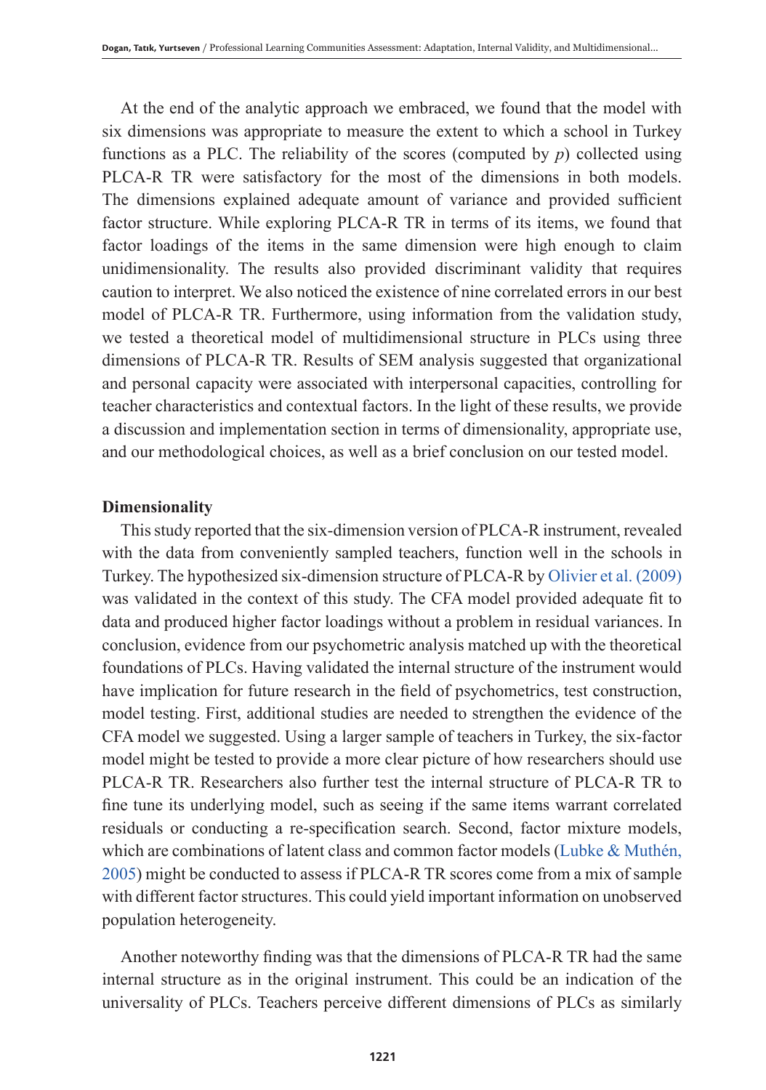At the end of the analytic approach we embraced, we found that the model with six dimensions was appropriate to measure the extent to which a school in Turkey functions as a PLC. The reliability of the scores (computed by *p*) collected using PLCA-R TR were satisfactory for the most of the dimensions in both models. The dimensions explained adequate amount of variance and provided sufficient factor structure. While exploring PLCA-R TR in terms of its items, we found that factor loadings of the items in the same dimension were high enough to claim unidimensionality. The results also provided discriminant validity that requires caution to interpret. We also noticed the existence of nine correlated errors in our best model of PLCA-R TR. Furthermore, using information from the validation study, we tested a theoretical model of multidimensional structure in PLCs using three dimensions of PLCA-R TR. Results of SEM analysis suggested that organizational and personal capacity were associated with interpersonal capacities, controlling for teacher characteristics and contextual factors. In the light of these results, we provide a discussion and implementation section in terms of dimensionality, appropriate use, and our methodological choices, as well as a brief conclusion on our tested model.

## **Dimensionality**

This study reported that the six-dimension version of PLCA-R instrument, revealed with the data from conveniently sampled teachers, function well in the schools in Turkey. The hypothesized six-dimension structure of PLCA-R by Olivier et al. (2009) was validated in the context of this study. The CFA model provided adequate fit to data and produced higher factor loadings without a problem in residual variances. In conclusion, evidence from our psychometric analysis matched up with the theoretical foundations of PLCs. Having validated the internal structure of the instrument would have implication for future research in the field of psychometrics, test construction, model testing. First, additional studies are needed to strengthen the evidence of the CFA model we suggested. Using a larger sample of teachers in Turkey, the six-factor model might be tested to provide a more clear picture of how researchers should use PLCA-R TR. Researchers also further test the internal structure of PLCA-R TR to fine tune its underlying model, such as seeing if the same items warrant correlated residuals or conducting a re-specification search. Second, factor mixture models, which are combinations of latent class and common factor models (Lubke & Muthén, 2005) might be conducted to assess if PLCA-R TR scores come from a mix of sample with different factor structures. This could yield important information on unobserved population heterogeneity.

Another noteworthy finding was that the dimensions of PLCA-R TR had the same internal structure as in the original instrument. This could be an indication of the universality of PLCs. Teachers perceive different dimensions of PLCs as similarly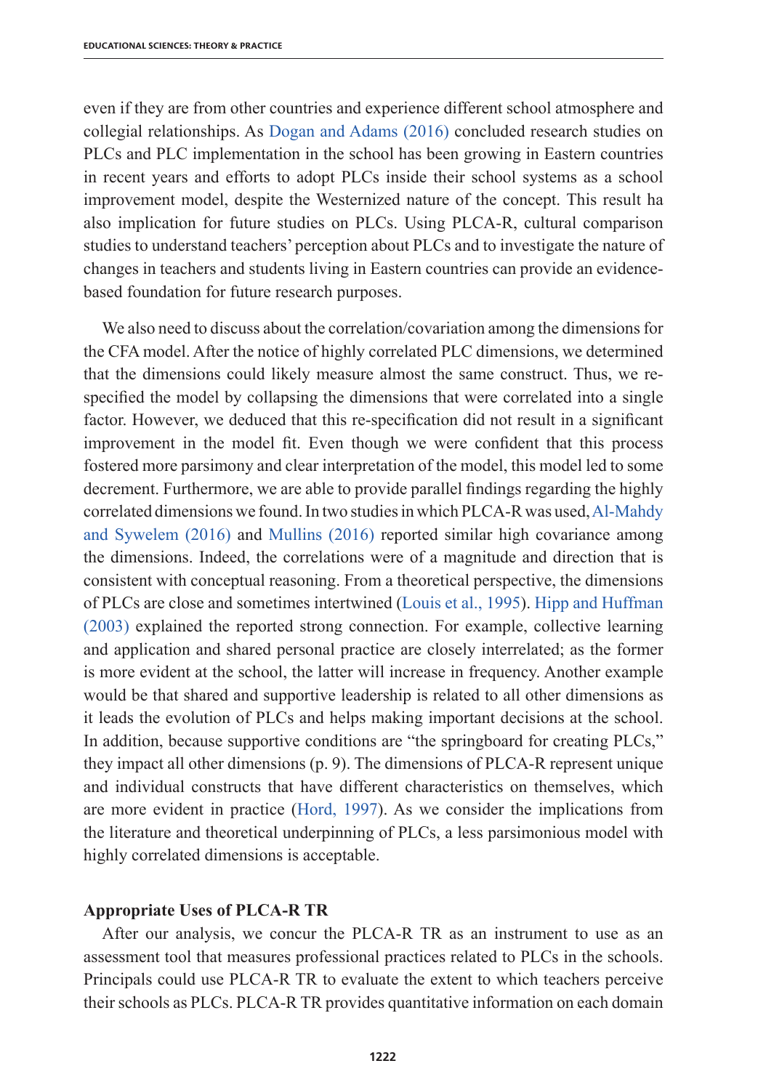even if they are from other countries and experience different school atmosphere and collegial relationships. As Dogan and Adams (2016) concluded research studies on PLCs and PLC implementation in the school has been growing in Eastern countries in recent years and efforts to adopt PLCs inside their school systems as a school improvement model, despite the Westernized nature of the concept. This result ha also implication for future studies on PLCs. Using PLCA-R, cultural comparison studies to understand teachers' perception about PLCs and to investigate the nature of changes in teachers and students living in Eastern countries can provide an evidencebased foundation for future research purposes.

We also need to discuss about the correlation/covariation among the dimensions for the CFA model. After the notice of highly correlated PLC dimensions, we determined that the dimensions could likely measure almost the same construct. Thus, we respecified the model by collapsing the dimensions that were correlated into a single factor. However, we deduced that this re-specification did not result in a significant improvement in the model fit. Even though we were confident that this process fostered more parsimony and clear interpretation of the model, this model led to some decrement. Furthermore, we are able to provide parallel findings regarding the highly correlated dimensions we found. In two studies in which PLCA-R was used, Al-Mahdy and Sywelem (2016) and Mullins (2016) reported similar high covariance among the dimensions. Indeed, the correlations were of a magnitude and direction that is consistent with conceptual reasoning. From a theoretical perspective, the dimensions of PLCs are close and sometimes intertwined (Louis et al., 1995). Hipp and Huffman (2003) explained the reported strong connection. For example, collective learning and application and shared personal practice are closely interrelated; as the former is more evident at the school, the latter will increase in frequency. Another example would be that shared and supportive leadership is related to all other dimensions as it leads the evolution of PLCs and helps making important decisions at the school. In addition, because supportive conditions are "the springboard for creating PLCs," they impact all other dimensions (p. 9). The dimensions of PLCA-R represent unique and individual constructs that have different characteristics on themselves, which are more evident in practice (Hord, 1997). As we consider the implications from the literature and theoretical underpinning of PLCs, a less parsimonious model with highly correlated dimensions is acceptable.

# **Appropriate Uses of PLCA-R TR**

After our analysis, we concur the PLCA-R TR as an instrument to use as an assessment tool that measures professional practices related to PLCs in the schools. Principals could use PLCA-R TR to evaluate the extent to which teachers perceive their schools as PLCs. PLCA-R TR provides quantitative information on each domain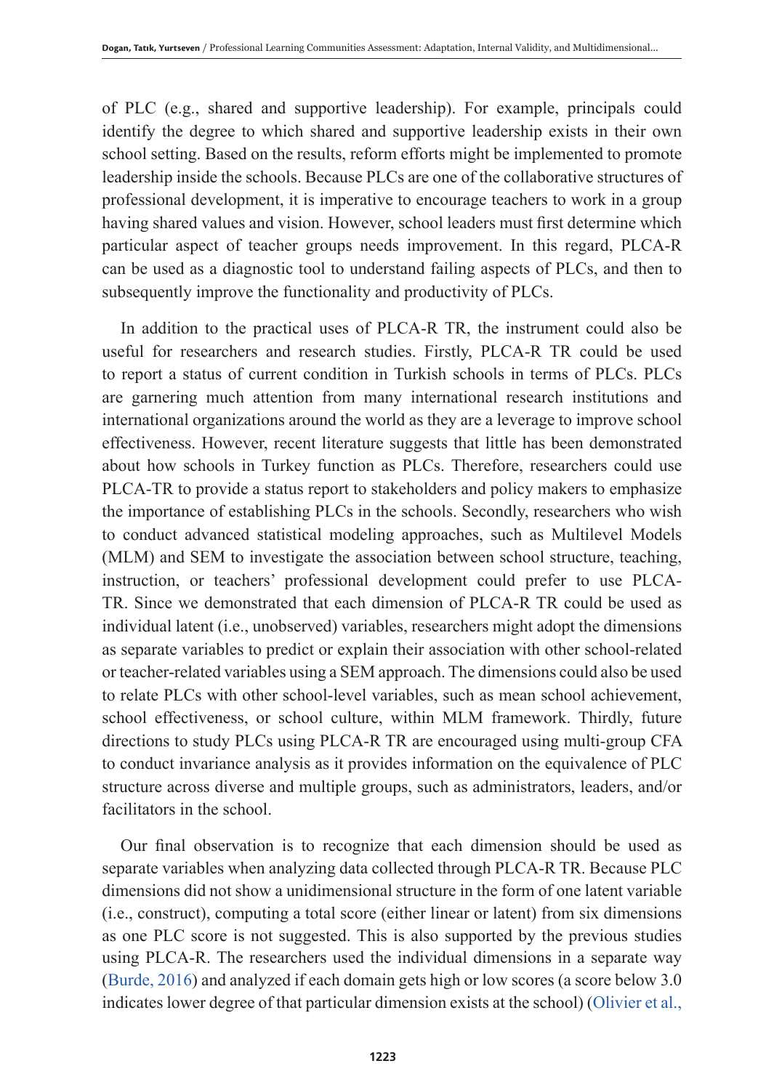of PLC (e.g., shared and supportive leadership). For example, principals could identify the degree to which shared and supportive leadership exists in their own school setting. Based on the results, reform efforts might be implemented to promote leadership inside the schools. Because PLCs are one of the collaborative structures of professional development, it is imperative to encourage teachers to work in a group having shared values and vision. However, school leaders must first determine which particular aspect of teacher groups needs improvement. In this regard, PLCA-R can be used as a diagnostic tool to understand failing aspects of PLCs, and then to subsequently improve the functionality and productivity of PLCs.

In addition to the practical uses of PLCA-R TR, the instrument could also be useful for researchers and research studies. Firstly, PLCA-R TR could be used to report a status of current condition in Turkish schools in terms of PLCs. PLCs are garnering much attention from many international research institutions and international organizations around the world as they are a leverage to improve school effectiveness. However, recent literature suggests that little has been demonstrated about how schools in Turkey function as PLCs. Therefore, researchers could use PLCA-TR to provide a status report to stakeholders and policy makers to emphasize the importance of establishing PLCs in the schools. Secondly, researchers who wish to conduct advanced statistical modeling approaches, such as Multilevel Models (MLM) and SEM to investigate the association between school structure, teaching, instruction, or teachers' professional development could prefer to use PLCA-TR. Since we demonstrated that each dimension of PLCA-R TR could be used as individual latent (i.e., unobserved) variables, researchers might adopt the dimensions as separate variables to predict or explain their association with other school-related or teacher-related variables using a SEM approach. The dimensions could also be used to relate PLCs with other school-level variables, such as mean school achievement, school effectiveness, or school culture, within MLM framework. Thirdly, future directions to study PLCs using PLCA-R TR are encouraged using multi-group CFA to conduct invariance analysis as it provides information on the equivalence of PLC structure across diverse and multiple groups, such as administrators, leaders, and/or facilitators in the school.

Our final observation is to recognize that each dimension should be used as separate variables when analyzing data collected through PLCA-R TR. Because PLC dimensions did not show a unidimensional structure in the form of one latent variable (i.e., construct), computing a total score (either linear or latent) from six dimensions as one PLC score is not suggested. This is also supported by the previous studies using PLCA-R. The researchers used the individual dimensions in a separate way (Burde, 2016) and analyzed if each domain gets high or low scores (a score below 3.0 indicates lower degree of that particular dimension exists at the school) (Olivier et al.,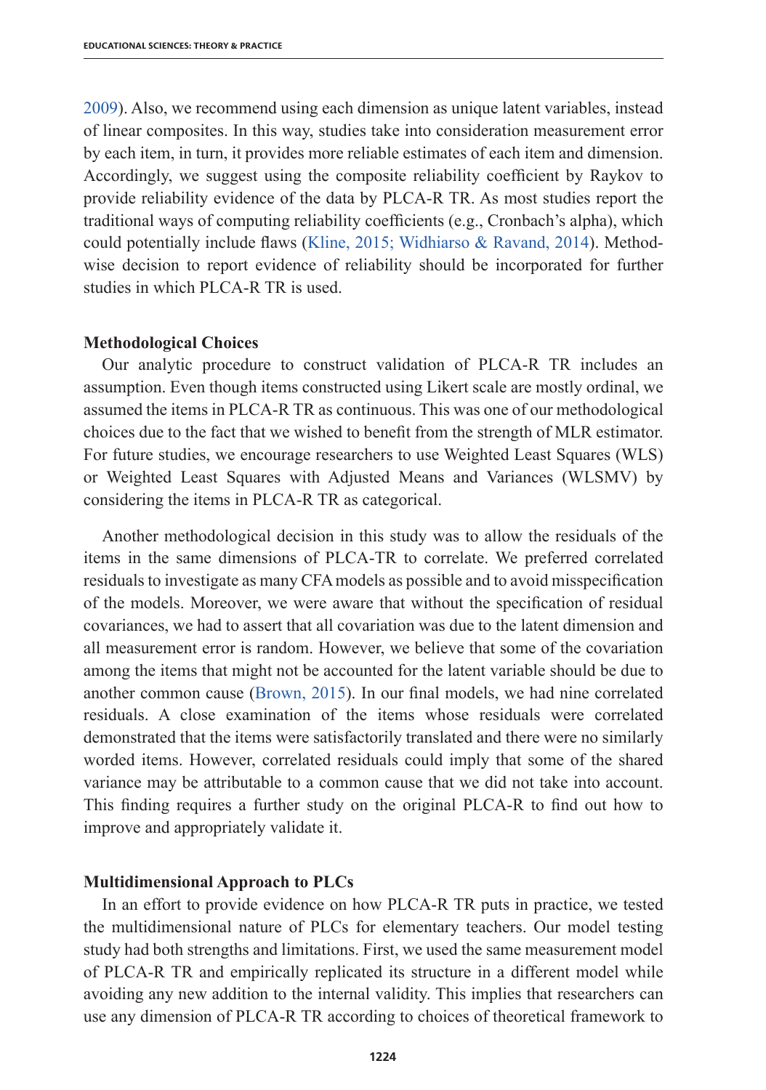2009). Also, we recommend using each dimension as unique latent variables, instead of linear composites. In this way, studies take into consideration measurement error by each item, in turn, it provides more reliable estimates of each item and dimension. Accordingly, we suggest using the composite reliability coefficient by Raykov to provide reliability evidence of the data by PLCA-R TR. As most studies report the traditional ways of computing reliability coefficients (e.g., Cronbach's alpha), which could potentially include flaws (Kline, 2015; Widhiarso & Ravand, 2014). Methodwise decision to report evidence of reliability should be incorporated for further studies in which PLCA-R TR is used.

#### **Methodological Choices**

Our analytic procedure to construct validation of PLCA-R TR includes an assumption. Even though items constructed using Likert scale are mostly ordinal, we assumed the items in PLCA-R TR as continuous. This was one of our methodological choices due to the fact that we wished to benefit from the strength of MLR estimator. For future studies, we encourage researchers to use Weighted Least Squares (WLS) or Weighted Least Squares with Adjusted Means and Variances (WLSMV) by considering the items in PLCA-R TR as categorical.

Another methodological decision in this study was to allow the residuals of the items in the same dimensions of PLCA-TR to correlate. We preferred correlated residuals to investigate as many CFA models as possible and to avoid misspecification of the models. Moreover, we were aware that without the specification of residual covariances, we had to assert that all covariation was due to the latent dimension and all measurement error is random. However, we believe that some of the covariation among the items that might not be accounted for the latent variable should be due to another common cause (Brown, 2015). In our final models, we had nine correlated residuals. A close examination of the items whose residuals were correlated demonstrated that the items were satisfactorily translated and there were no similarly worded items. However, correlated residuals could imply that some of the shared variance may be attributable to a common cause that we did not take into account. This finding requires a further study on the original PLCA-R to find out how to improve and appropriately validate it.

#### **Multidimensional Approach to PLCs**

In an effort to provide evidence on how PLCA-R TR puts in practice, we tested the multidimensional nature of PLCs for elementary teachers. Our model testing study had both strengths and limitations. First, we used the same measurement model of PLCA-R TR and empirically replicated its structure in a different model while avoiding any new addition to the internal validity. This implies that researchers can use any dimension of PLCA-R TR according to choices of theoretical framework to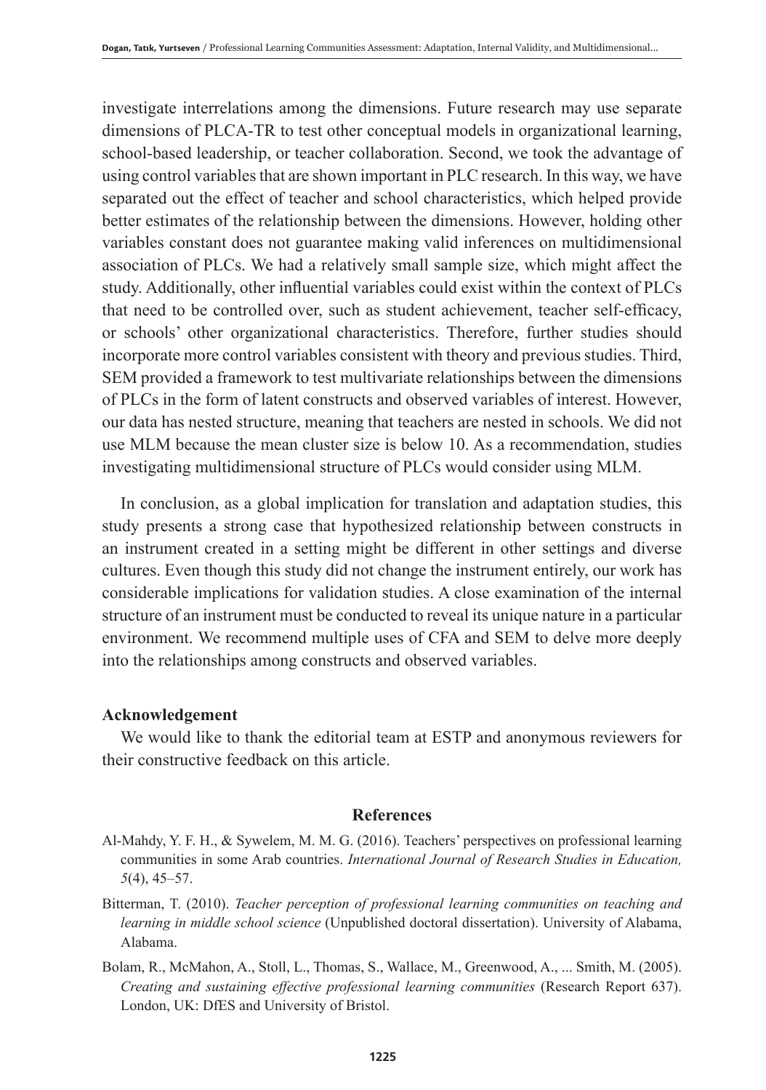investigate interrelations among the dimensions. Future research may use separate dimensions of PLCA-TR to test other conceptual models in organizational learning, school-based leadership, or teacher collaboration. Second, we took the advantage of using control variables that are shown important in PLC research. In this way, we have separated out the effect of teacher and school characteristics, which helped provide better estimates of the relationship between the dimensions. However, holding other variables constant does not guarantee making valid inferences on multidimensional association of PLCs. We had a relatively small sample size, which might affect the study. Additionally, other influential variables could exist within the context of PLCs that need to be controlled over, such as student achievement, teacher self-efficacy, or schools' other organizational characteristics. Therefore, further studies should incorporate more control variables consistent with theory and previous studies. Third, SEM provided a framework to test multivariate relationships between the dimensions of PLCs in the form of latent constructs and observed variables of interest. However, our data has nested structure, meaning that teachers are nested in schools. We did not use MLM because the mean cluster size is below 10. As a recommendation, studies investigating multidimensional structure of PLCs would consider using MLM.

In conclusion, as a global implication for translation and adaptation studies, this study presents a strong case that hypothesized relationship between constructs in an instrument created in a setting might be different in other settings and diverse cultures. Even though this study did not change the instrument entirely, our work has considerable implications for validation studies. A close examination of the internal structure of an instrument must be conducted to reveal its unique nature in a particular environment. We recommend multiple uses of CFA and SEM to delve more deeply into the relationships among constructs and observed variables.

#### **Acknowledgement**

We would like to thank the editorial team at ESTP and anonymous reviewers for their constructive feedback on this article.

# **References**

- Al-Mahdy, Y. F. H., & Sywelem, M. M. G. (2016). Teachers' perspectives on professional learning communities in some Arab countries. *International Journal of Research Studies in Education, 5*(4), 45–57.
- Bitterman, T. (2010). *Teacher perception of professional learning communities on teaching and learning in middle school science* (Unpublished doctoral dissertation). University of Alabama, Alabama.
- Bolam, R., McMahon, A., Stoll, L., Thomas, S., Wallace, M., Greenwood, A., ... Smith, M. (2005). *Creating and sustaining effective professional learning communities* (Research Report 637). London, UK: DfES and University of Bristol.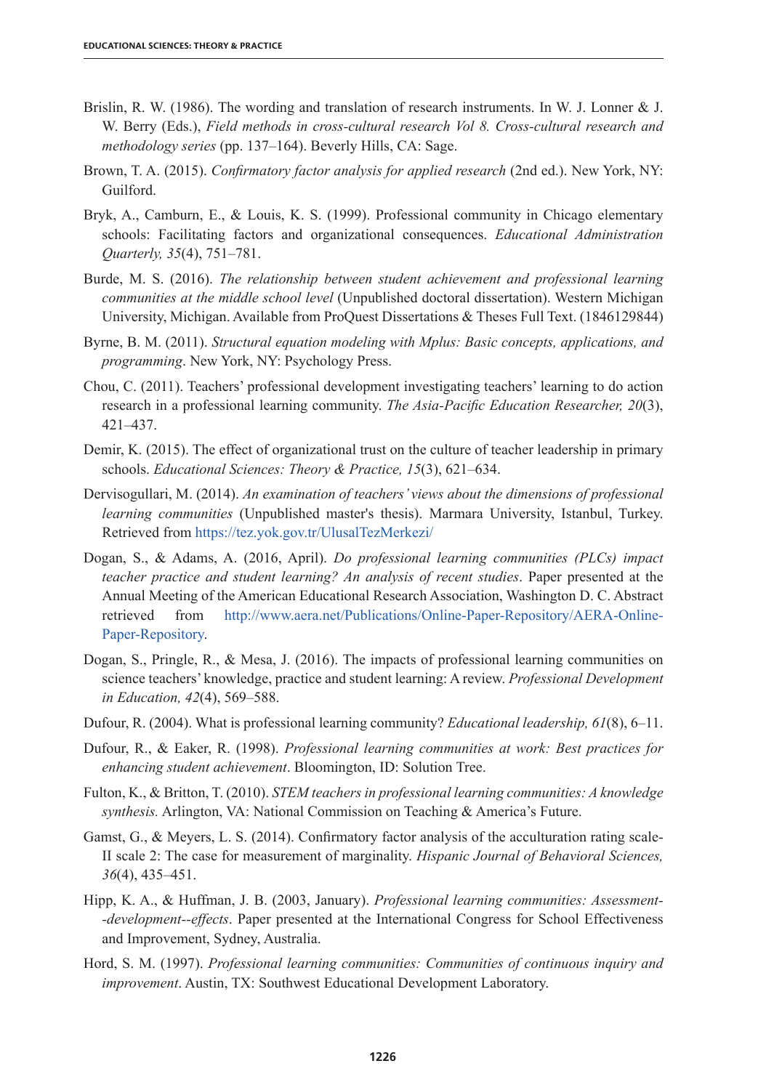- Brislin, R. W. (1986). The wording and translation of research instruments. In W. J. Lonner & J. W. Berry (Eds.), *Field methods in cross-cultural research Vol 8. Cross-cultural research and methodology series* (pp. 137–164). Beverly Hills, CA: Sage.
- Brown, T. A. (2015). *Confirmatory factor analysis for applied research* (2nd ed.). New York, NY: Guilford.
- Bryk, A., Camburn, E., & Louis, K. S. (1999). Professional community in Chicago elementary schools: Facilitating factors and organizational consequences. *Educational Administration Quarterly, 35*(4), 751–781.
- Burde, M. S. (2016). *The relationship between student achievement and professional learning communities at the middle school level* (Unpublished doctoral dissertation). Western Michigan University, Michigan. Available from ProQuest Dissertations & Theses Full Text. (1846129844)
- Byrne, B. M. (2011). *Structural equation modeling with Mplus: Basic concepts, applications, and programming*. New York, NY: Psychology Press.
- Chou, C. (2011). Teachers' professional development investigating teachers' learning to do action research in a professional learning community. *The Asia-Pacific Education Researcher, 20*(3), 421–437.
- Demir, K. (2015). The effect of organizational trust on the culture of teacher leadership in primary schools. *Educational Sciences: Theory & Practice, 15*(3), 621–634.
- Dervisogullari, M. (2014). *An examination of teachers' views about the dimensions of professional learning communities* (Unpublished master's thesis). Marmara University, Istanbul, Turkey. Retrieved from https://tez.yok.gov.tr/UlusalTezMerkezi/
- Dogan, S., & Adams, A. (2016, April). *Do professional learning communities (PLCs) impact teacher practice and student learning? An analysis of recent studies*. Paper presented at the Annual Meeting of the American Educational Research Association, Washington D. C. Abstract retrieved from http://www.aera.net/Publications/Online-Paper-Repository/AERA-Online-Paper-Repository.
- Dogan, S., Pringle, R., & Mesa, J. (2016). The impacts of professional learning communities on science teachers' knowledge, practice and student learning: A review. *Professional Development in Education, 42*(4), 569–588.
- Dufour, R. (2004). What is professional learning community? *Educational leadership, 61*(8), 6–11.
- Dufour, R., & Eaker, R. (1998). *Professional learning communities at work: Best practices for enhancing student achievement*. Bloomington, ID: Solution Tree.
- Fulton, K., & Britton, T. (2010). *STEM teachers in professional learning communities: A knowledge synthesis.* Arlington, VA: National Commission on Teaching & America's Future.
- Gamst, G., & Meyers, L. S. (2014). Confirmatory factor analysis of the acculturation rating scale-II scale 2: The case for measurement of marginality. *Hispanic Journal of Behavioral Sciences, 36*(4), 435–451.
- Hipp, K. A., & Huffman, J. B. (2003, January). *Professional learning communities: Assessment- -development--effects*. Paper presented at the International Congress for School Effectiveness and Improvement, Sydney, Australia.
- Hord, S. M. (1997). *Professional learning communities: Communities of continuous inquiry and improvement*. Austin, TX: Southwest Educational Development Laboratory.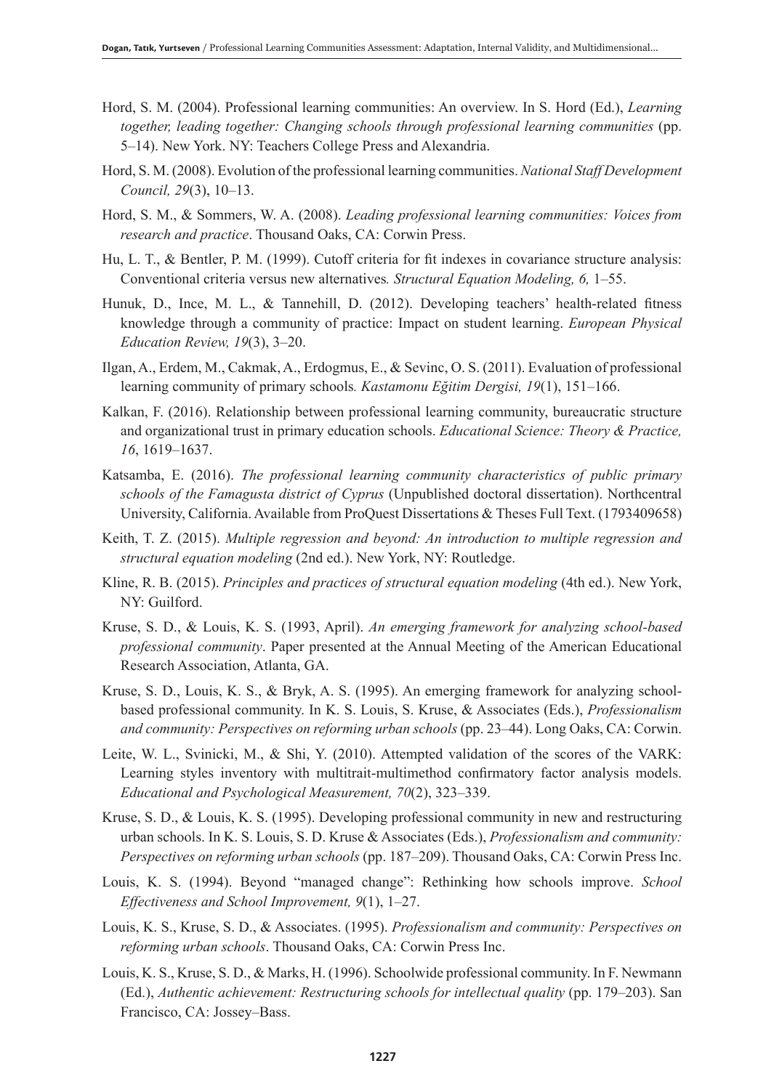- Hord, S. M. (2004). Professional learning communities: An overview. In S. Hord (Ed.), *Learning*  together, leading together: Changing schools through professional learning communities (pp. 5–14). New York. NY: Teachers College Press and Alexandria.
- Hord, S. M. (2008). Evolution of the professional learning communities. *National Staff Development Council, 29*(3), 10–13.
- Hord, S. M., & Sommers, W. A. (2008). *Leading professional learning communities: Voices from research and practice*. Thousand Oaks, CA: Corwin Press.
- Hu, L. T., & Bentler, P. M. (1999). Cutoff criteria for fit indexes in covariance structure analysis: Conventional criteria versus new alternatives*. Structural Equation Modeling, 6,* 1–55.
- Hunuk, D., Ince, M. L., & Tannehill, D. (2012). Developing teachers' health-related fitness knowledge through a community of practice: Impact on student learning. *European Physical Education Review, 19*(3), 3–20.
- Ilgan, A., Erdem, M., Cakmak, A., Erdogmus, E., & Sevinc, O. S. (2011). Evaluation of professional learning community of primary schools*. Kastamonu Eğitim Dergisi, 19*(1), 151–166.
- Kalkan, F. (2016). Relationship between professional learning community, bureaucratic structure and organizational trust in primary education schools. *Educational Science: Theory & Practice, 16*, 1619–1637.
- Katsamba, E. (2016). *The professional learning community characteristics of public primary schools of the Famagusta district of Cyprus* (Unpublished doctoral dissertation). Northcentral University, California. Available from ProQuest Dissertations & Theses Full Text. (1793409658)
- Keith, T. Z. (2015). *Multiple regression and beyond: An introduction to multiple regression and structural equation modeling* (2nd ed.). New York, NY: Routledge.
- Kline, R. B. (2015). *Principles and practices of structural equation modeling* (4th ed.). New York, NY: Guilford.
- Kruse, S. D., & Louis, K. S. (1993, April). *An emerging framework for analyzing school-based professional community*. Paper presented at the Annual Meeting of the American Educational Research Association, Atlanta, GA.
- Kruse, S. D., Louis, K. S., & Bryk, A. S. (1995). An emerging framework for analyzing schoolbased professional community. In K. S. Louis, S. Kruse, & Associates (Eds.), *Professionalism and community: Perspectives on reforming urban schools* (pp. 23–44). Long Oaks, CA: Corwin.
- Leite, W. L., Svinicki, M., & Shi, Y. (2010). Attempted validation of the scores of the VARK: Learning styles inventory with multitrait-multimethod confirmatory factor analysis models. *Educational and Psychological Measurement, 70*(2), 323–339.
- Kruse, S. D., & Louis, K. S. (1995). Developing professional community in new and restructuring urban schools. In K. S. Louis, S. D. Kruse & Associates (Eds.), *Professionalism and community: Perspectives on reforming urban schools* (pp. 187–209). Thousand Oaks, CA: Corwin Press Inc.
- Louis, K. S. (1994). Beyond "managed change": Rethinking how schools improve. *School Effectiveness and School Improvement, 9*(1), 1–27.
- Louis, K. S., Kruse, S. D., & Associates. (1995). *Professionalism and community: Perspectives on reforming urban schools*. Thousand Oaks, CA: Corwin Press Inc.
- Louis, K. S., Kruse, S. D., & Marks, H. (1996). Schoolwide professional community. In F. Newmann (Ed.), *Authentic achievement: Restructuring schools for intellectual quality* (pp. 179–203). San Francisco, CA: Jossey–Bass.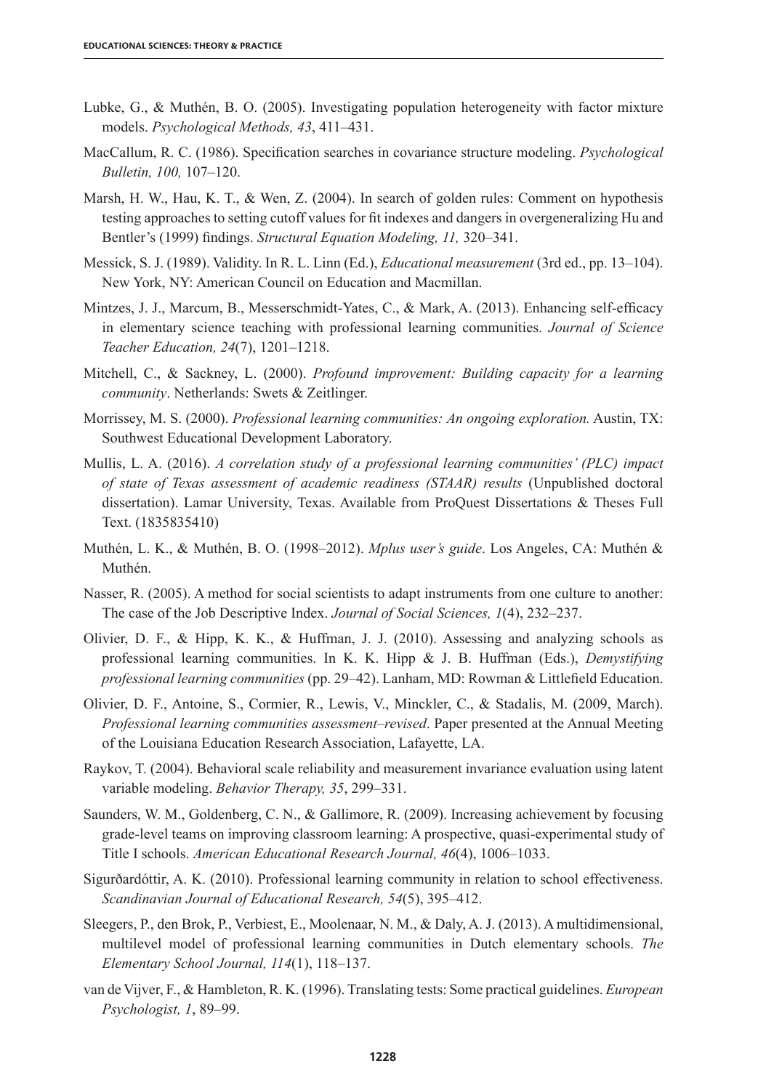- Lubke, G., & Muthén, B. O. (2005). Investigating population heterogeneity with factor mixture models. *Psychological Methods, 43*, 411–431.
- MacCallum, R. C. (1986). Specification searches in covariance structure modeling. *Psychological Bulletin, 100,* 107–120.
- Marsh, H. W., Hau, K. T., & Wen, Z. (2004). In search of golden rules: Comment on hypothesis testing approaches to setting cutoff values for fit indexes and dangers in overgeneralizing Hu and Bentler's (1999) findings. *Structural Equation Modeling, 11,* 320–341.
- Messick, S. J. (1989). Validity. In R. L. Linn (Ed.), *Educational measurement* (3rd ed., pp. 13–104). New York, NY: American Council on Education and Macmillan.
- Mintzes, J. J., Marcum, B., Messerschmidt-Yates, C., & Mark, A. (2013). Enhancing self-efficacy in elementary science teaching with professional learning communities. *Journal of Science Teacher Education, 24*(7), 1201–1218.
- Mitchell, C., & Sackney, L. (2000). *Profound improvement: Building capacity for a learning community*. Netherlands: Swets & Zeitlinger.
- Morrissey, M. S. (2000). *Professional learning communities: An ongoing exploration.* Austin, TX: Southwest Educational Development Laboratory.
- Mullis, L. A. (2016). *A correlation study of a professional learning communities' (PLC) impact of state of Texas assessment of academic readiness (STAAR) results* (Unpublished doctoral dissertation). Lamar University, Texas. Available from ProQuest Dissertations & Theses Full Text. (1835835410)
- Muthén, L. K., & Muthén, B. O. (1998–2012). *Mplus user's guide*. Los Angeles, CA: Muthén & Muthén.
- Nasser, R. (2005). A method for social scientists to adapt instruments from one culture to another: The case of the Job Descriptive Index. *Journal of Social Sciences, 1*(4), 232–237.
- Olivier, D. F., & Hipp, K. K., & Huffman, J. J. (2010). Assessing and analyzing schools as professional learning communities. In K. K. Hipp & J. B. Huffman (Eds.), *Demystifying professional learning communities* (pp. 29–42). Lanham, MD: Rowman & Littlefield Education.
- Olivier, D. F., Antoine, S., Cormier, R., Lewis, V., Minckler, C., & Stadalis, M. (2009, March). *Professional learning communities assessment–revised*. Paper presented at the Annual Meeting of the Louisiana Education Research Association, Lafayette, LA.
- Raykov, T. (2004). Behavioral scale reliability and measurement invariance evaluation using latent variable modeling. *Behavior Therapy, 35*, 299–331.
- Saunders, W. M., Goldenberg, C. N., & Gallimore, R. (2009). Increasing achievement by focusing grade-level teams on improving classroom learning: A prospective, quasi-experimental study of Title I schools. *American Educational Research Journal, 46*(4), 1006–1033.
- Sigurðardóttir, A. K. (2010). Professional learning community in relation to school effectiveness. *Scandinavian Journal of Educational Research, 54*(5), 395–412.
- Sleegers, P., den Brok, P., Verbiest, E., Moolenaar, N. M., & Daly, A. J. (2013). A multidimensional, multilevel model of professional learning communities in Dutch elementary schools. *The Elementary School Journal, 114*(1), 118–137.
- van de Vijver, F., & Hambleton, R. K. (1996). Translating tests: Some practical guidelines. *European Psychologist, 1*, 89–99.